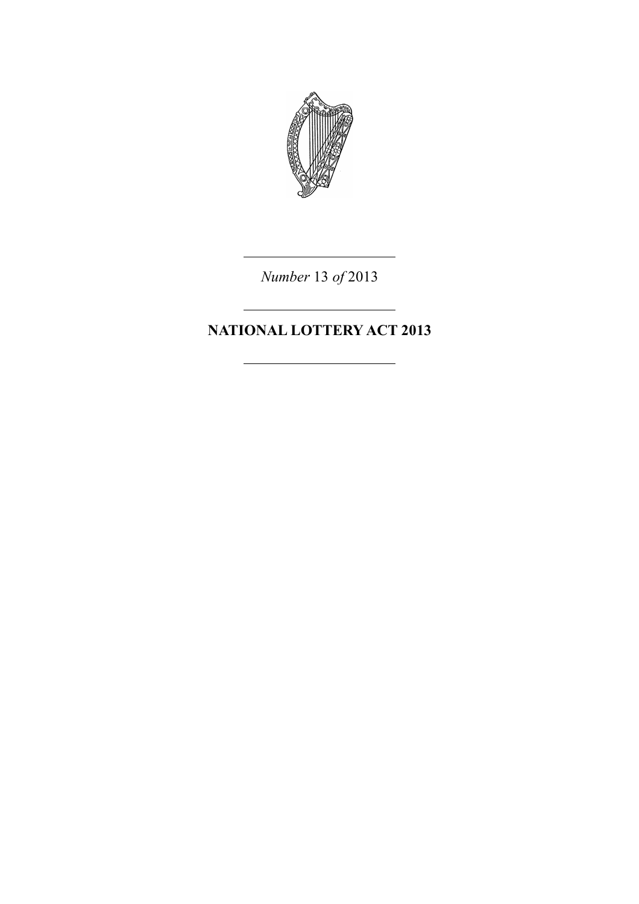

*Number* 13 *of* 2013

# **NATIONAL LOTTERY ACT 2013**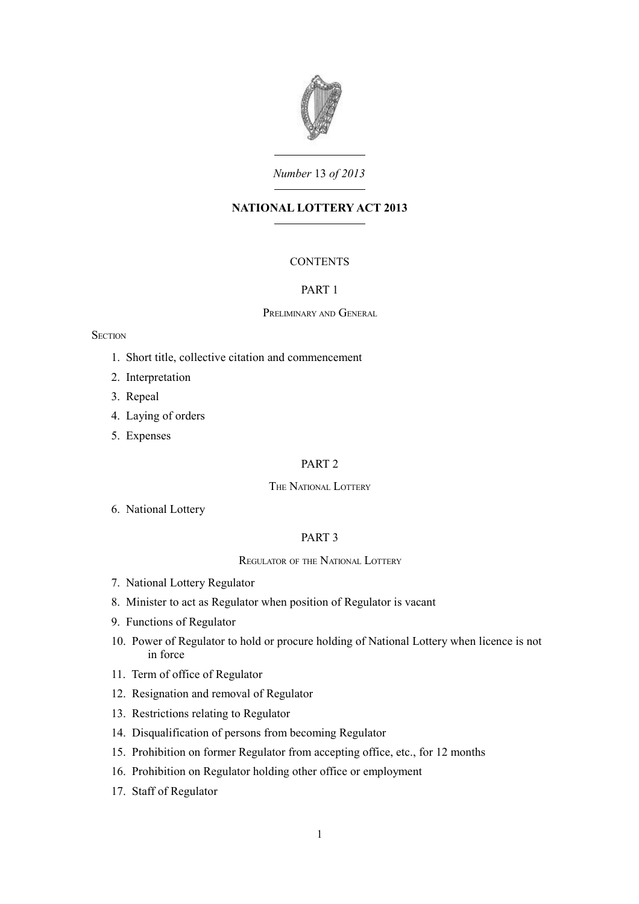

# *Number* 13 *of 2013*

# **NATIONAL LOTTERY ACT 2013**

# **CONTENTS**

### [PART 1](#page-6-0)

### P[RELIMINARY](#page-6-3) AND GENERAL

#### **SECTION**

- 1. [Short title, collective citation and commencement](#page-6-2)
- 2. [Interpretation](#page-6-1)
- 3. [Repeal](#page-7-2)
- 4. [Laying of orders](#page-7-1)
- 5. [Expenses](#page-7-0)

### [PART 2](#page-8-7)

# THE N[ATIONAL](#page-8-6) LOTTERY

6. [National Lottery](#page-8-5)

### [PART 3](#page-8-4)

### R[EGULATOR](#page-8-3) OF THE NATIONAL LOTTERY

- 7. [National Lottery Regulator](#page-8-2)
- 8. [Minister to act as Regulator when position of Regulator is vacant](#page-8-1)
- 9. [Functions of Regulator](#page-8-0)
- 10. [Power of Regulator to hold or procure holding of National Lottery when licence is not](#page-9-3) [in force](#page-9-3)
- 11. [Term of office of Regulator](#page-9-2)
- 12. [Resignation and removal of Regulator](#page-9-1)
- 13. [Restrictions relating to Regulator](#page-9-0)
- 14. [Disqualification of persons from becoming Regulator](#page-10-3)
- 15. [Prohibition on former Regulator from accepting office, etc., for 12 months](#page-10-2)
- 16. [Prohibition on Regulator holding other office or employment](#page-10-1)
- 17. [Staff of Regulator](#page-10-0)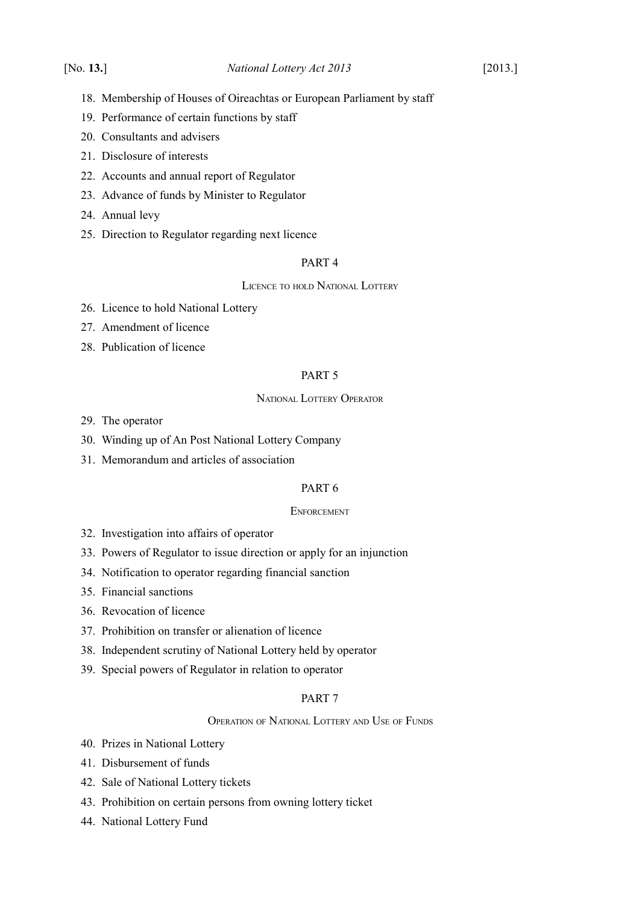- 18. [Membership of Houses of Oireachtas or European Parliament by staff](#page-11-2)
- 19. [Performance of certain functions by staff](#page-11-1)
- 20. [Consultants and advisers](#page-11-0)
- 21. [Disclosure of interests](#page-12-1)
- 22. [Accounts and annual report of Regulator](#page-12-0)
- 23. [Advance of funds by Minister to Regulator](#page-13-2)
- 24. [Annual levy](#page-13-1)
- 25. [Direction to Regulator regarding next licence](#page-13-0)

# [PART 4](#page-14-3)

LICENCE TO HOLD N[ATIONAL](#page-14-2) LOTTERY

- 26. [Licence to hold National Lottery](#page-14-1)
- 27. [Amendment of licence](#page-14-0)
- 28. [Publication of licence](#page-15-3)

# [PART 5](#page-15-2)

### NATIONAL LOTTERY O[PERATOR](#page-15-1)

- 29. [The operator](#page-15-0)
- 30. [Winding up of An Post National Lottery Company](#page-16-1)
- 31. [Memorandum and articles of association](#page-16-0)

# [PART 6](#page-17-4)

# **E[NFORCEMENT](#page-17-3)**

- 32. [Investigation into affairs of operator](#page-17-2)
- 33. [Powers of Regulator to issue direction or apply for an injunction](#page-17-1)
- 34. [Notification to operator regarding financial sanction](#page-17-0)
- 35. [Financial sanctions](#page-18-0)
- 36. [Revocation of licence](#page-19-0)
- 37. [Prohibition on transfer or alienation of licence](#page-20-1)
- 38. [Independent scrutiny of National Lottery held by operator](#page-20-0)
- 39. [Special powers of Regulator in relation to operator](#page-21-0)

### [PART 7](#page-22-4)

### O[PERATION](#page-22-3) OF NATIONAL LOTTERY AND USE OF FUNDS

- 40. [Prizes in National Lottery](#page-22-2)
- 41. [Disbursement of funds](#page-22-1)
- 42. [Sale of National Lottery tickets](#page-22-0)
- 43. [Prohibition on certain persons from owning lottery ticket](#page-23-0)
- 44. [National Lottery Fund](#page-24-0)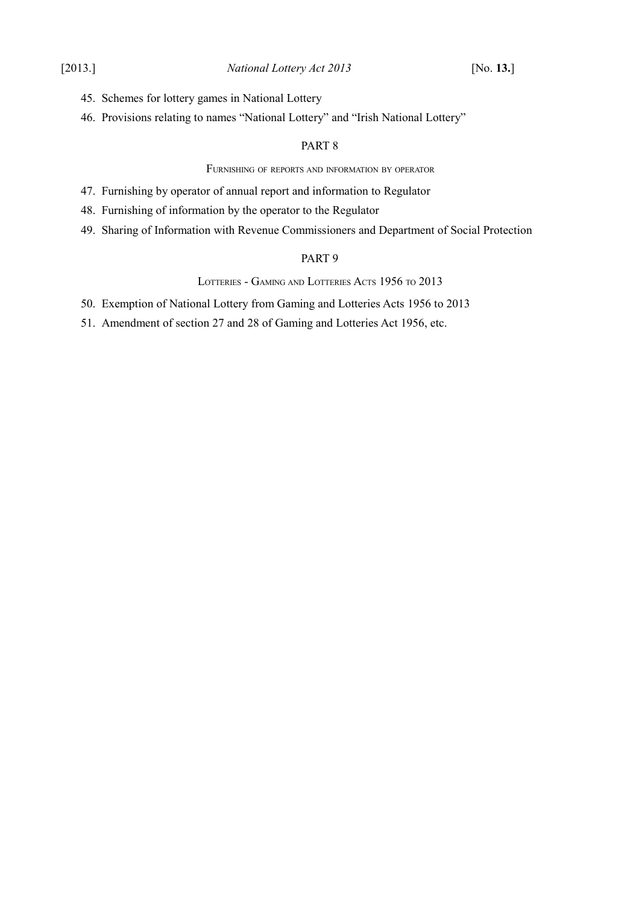- 45. [Schemes for lottery games in National Lottery](#page-25-1)
- 46. [Provisions relating to names "National Lottery" and "Irish National Lottery"](#page-25-0)

### [PART 8](#page-26-4)

### FURNISHING OF REPORTS AND [INFORMATION](#page-26-3) BY OPERATOR

- 47. [Furnishing by operator of annual report and information to Regulator](#page-26-2)
- 48. [Furnishing of information by the operator to the Regulator](#page-26-1)
- 49. [Sharing of Information with Revenue Commissioners and Department of Social Protection](#page-26-0)

# [PART 9](#page-27-3)

LOTTERIES - GAMING AND LOTTERIES ACTS [1956](#page-27-2) TO 2013

50. [Exemption of National Lottery from Gaming and Lotteries Acts 1956 to 2013](#page-27-1)

51. [Amendment of section 27 and 28 of Gaming and Lotteries Act 1956, etc.](#page-27-0)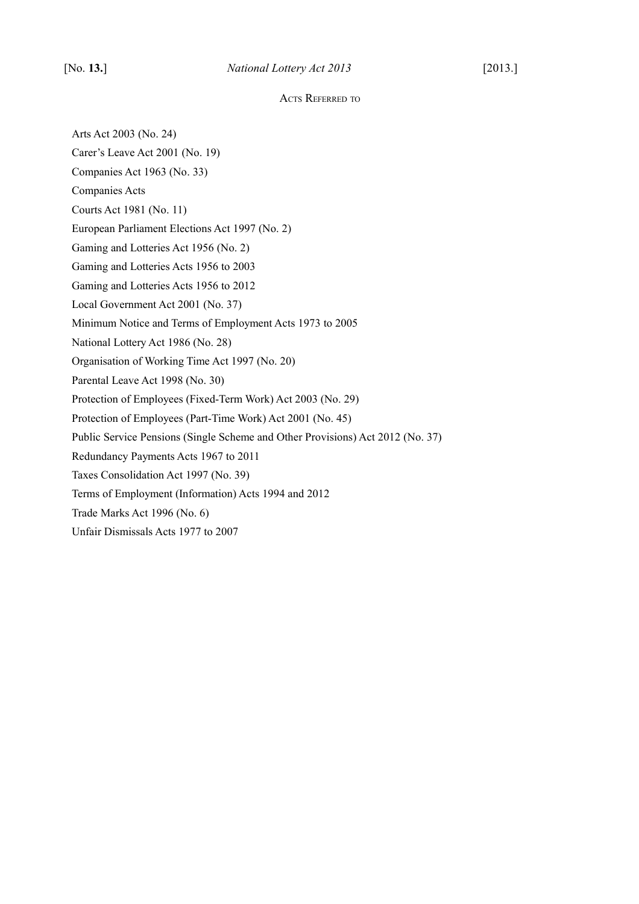#### ACTS REFERRED TO

Arts Act 2003 (No. 24) Carer's Leave Act 2001 (No. 19) Companies Act 1963 (No. 33) Companies Acts Courts Act 1981 (No. 11) European Parliament Elections Act 1997 (No. 2) Gaming and Lotteries Act 1956 (No. 2) Gaming and Lotteries Acts 1956 to 2003 Gaming and Lotteries Acts 1956 to 2012 Local Government Act 2001 (No. 37) Minimum Notice and Terms of Employment Acts 1973 to 2005 National Lottery Act 1986 (No. 28) Organisation of Working Time Act 1997 (No. 20) Parental Leave Act 1998 (No. 30) Protection of Employees (Fixed-Term Work) Act 2003 (No. 29) Protection of Employees (Part-Time Work) Act 2001 (No. 45) Public Service Pensions (Single Scheme and Other Provisions) Act 2012 (No. 37) Redundancy Payments Acts 1967 to 2011 Taxes Consolidation Act 1997 (No. 39) Terms of Employment (Information) Acts 1994 and 2012 Trade Marks Act 1996 (No. 6) Unfair Dismissals Acts 1977 to 2007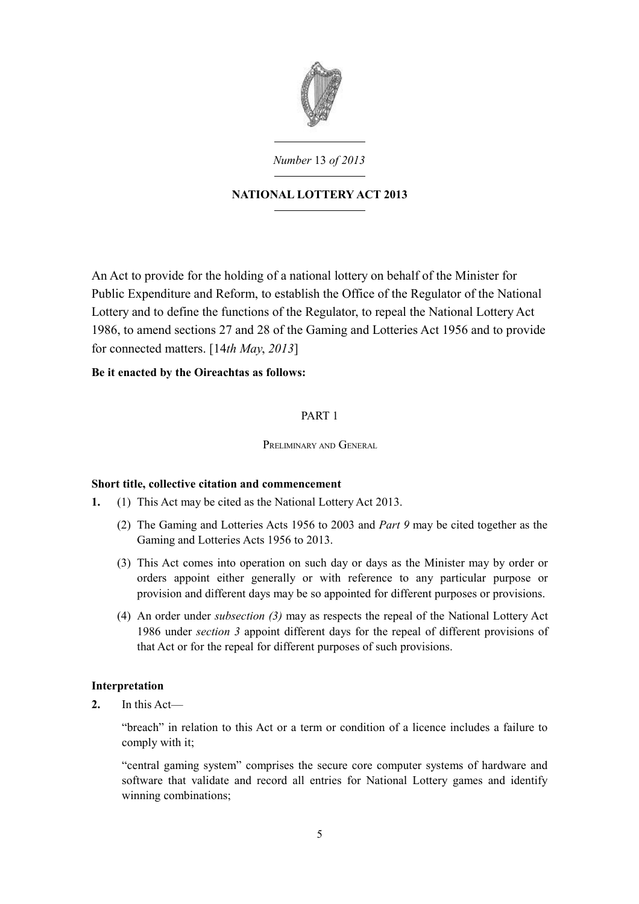

*Number* 13 *of 2013*

# **NATIONAL LOTTERY ACT 2013**

An Act to provide for the holding of a national lottery on behalf of the Minister for Public Expenditure and Reform, to establish the Office of the Regulator of the National Lottery and to define the functions of the Regulator, to repeal the National Lottery Act 1986, to amend sections 27 and 28 of the Gaming and Lotteries Act 1956 and to provide for connected matters. [14*th May*, *2013*]

# **Be it enacted by the Oireachtas as follows:**

# <span id="page-6-0"></span>PART 1

# <span id="page-6-3"></span>PRELIMINARY AND GENERAL.

# <span id="page-6-2"></span>**Short title, collective citation and commencement**

- <span id="page-6-5"></span><span id="page-6-4"></span>**1.** (1) This Act may be cited as the National Lottery Act 2013.
	- (2) The Gaming and Lotteries Acts 1956 to 2003 and *Part [9](#page-27-4)* may be cited together as the Gaming and Lotteries Acts 1956 to 2013.
	- (3) This Act comes into operation on such day or days as the Minister may by order or orders appoint either generally or with reference to any particular purpose or provision and different days may be so appointed for different purposes or provisions.
	- (4) An order under *subsection [\(3\)](#page-6-4)* may as respects the repeal of the [National Lottery Act](http://www.irishstatutebook.ie/1986/en/act/pub/0028/index.html) [1986](http://www.irishstatutebook.ie/1986/en/act/pub/0028/index.html) under *section [3](#page-7-3)* appoint different days for the repeal of different provisions of that Act or for the repeal for different purposes of such provisions.

# <span id="page-6-1"></span>**Interpretation**

**2.** In this Act—

"breach" in relation to this Act or a term or condition of a licence includes a failure to comply with it;

"central gaming system" comprises the secure core computer systems of hardware and software that validate and record all entries for National Lottery games and identify winning combinations;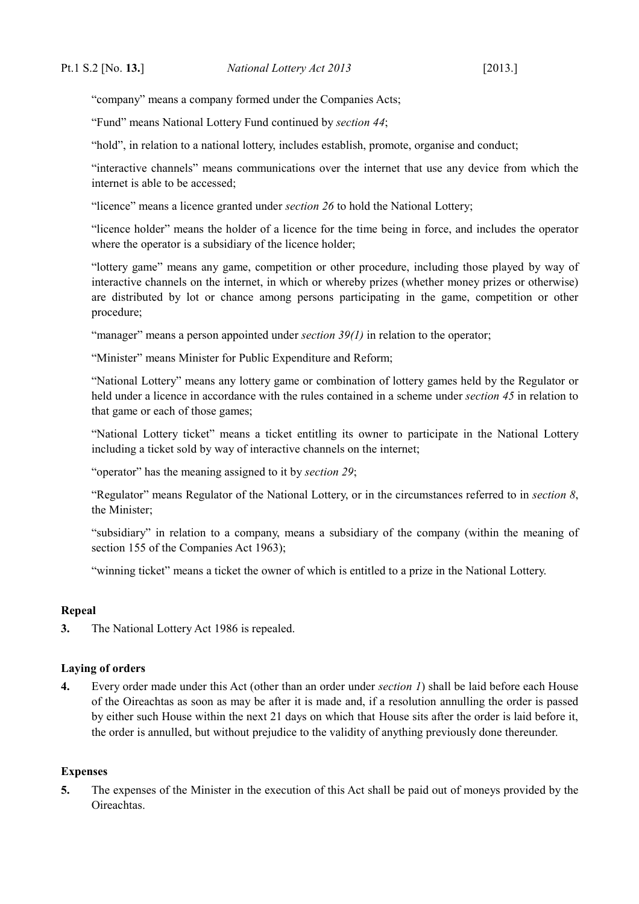"company" means a company formed under the Companies Acts;

"Fund" means National Lottery Fund continued by *section [44](#page-24-1)*;

"hold", in relation to a national lottery, includes establish, promote, organise and conduct;

"interactive channels" means communications over the internet that use any device from which the internet is able to be accessed;

"licence" means a licence granted under *section [26](#page-14-4)* to hold the National Lottery;

"licence holder" means the holder of a licence for the time being in force, and includes the operator where the operator is a subsidiary of the licence holder;

"lottery game" means any game, competition or other procedure, including those played by way of interactive channels on the internet, in which or whereby prizes (whether money prizes or otherwise) are distributed by lot or chance among persons participating in the game, competition or other procedure;

"manager" means a person appointed under *section [39](#page-21-2)[\(1\)](#page-21-1)* in relation to the operator;

"Minister" means Minister for Public Expenditure and Reform;

"National Lottery" means any lottery game or combination of lottery games held by the Regulator or held under a licence in accordance with the rules contained in a scheme under *section [45](#page-25-2)* in relation to that game or each of those games;

"National Lottery ticket" means a ticket entitling its owner to participate in the National Lottery including a ticket sold by way of interactive channels on the internet;

"operator" has the meaning assigned to it by *section [29](#page-15-4)*;

"Regulator" means Regulator of the National Lottery, or in the circumstances referred to in *section [8](#page-8-8)*, the Minister;

"subsidiary" in relation to a company, means a subsidiary of the company (within the meaning of section 155 of the [Companies Act 1963\)](http://www.irishstatutebook.ie/1963/en/act/pub/0033/index.html);

"winning ticket" means a ticket the owner of which is entitled to a prize in the National Lottery.

# <span id="page-7-2"></span>**Repeal**

<span id="page-7-3"></span>**3.** The [National Lottery Act 1986](http://www.irishstatutebook.ie/1986/en/act/pub/0028/index.html) is repealed.

# <span id="page-7-1"></span>**Laying of orders**

**4.** Every order made under this Act (other than an order under *section [1](#page-6-5)*) shall be laid before each House of the Oireachtas as soon as may be after it is made and, if a resolution annulling the order is passed by either such House within the next 21 days on which that House sits after the order is laid before it, the order is annulled, but without prejudice to the validity of anything previously done thereunder.

### <span id="page-7-0"></span>**Expenses**

**5.** The expenses of the Minister in the execution of this Act shall be paid out of moneys provided by the Oireachtas.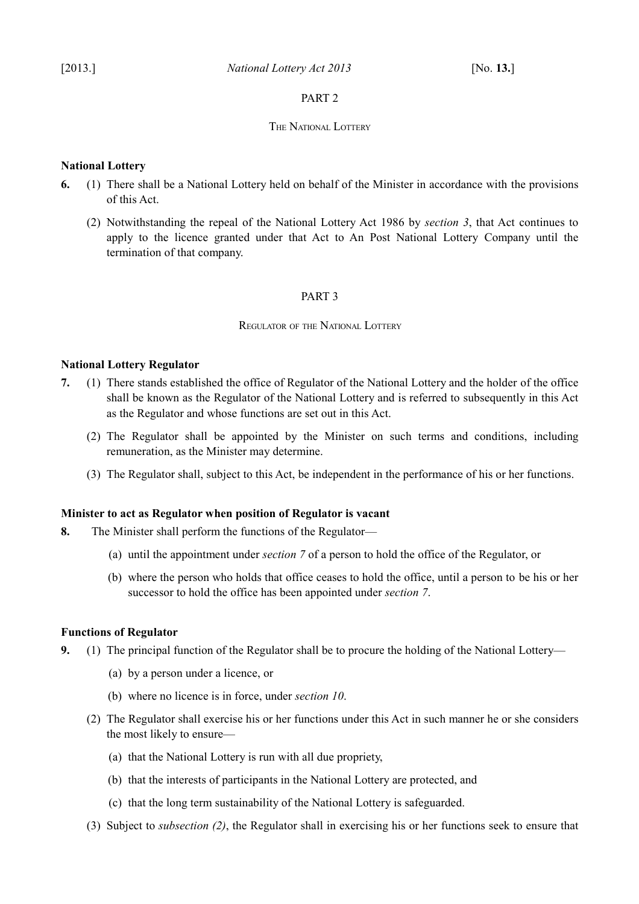# <span id="page-8-7"></span>PART 2

### <span id="page-8-6"></span>THE NATIONAL LOTTERY

### <span id="page-8-5"></span>**National Lottery**

- **6.** (1) There shall be a National Lottery held on behalf of the Minister in accordance with the provisions of this Act.
	- (2) Notwithstanding the repeal of the National Lottery Act 1986 by *section [3](#page-7-3)*, that Act continues to apply to the licence granted under that Act to An Post National Lottery Company until the termination of that company.

### <span id="page-8-4"></span>PART 3

### <span id="page-8-3"></span>REGULATOR OF THE NATIONAL LOTTERY

### <span id="page-8-2"></span>**National Lottery Regulator**

- <span id="page-8-10"></span>**7.** (1) There stands established the office of Regulator of the National Lottery and the holder of the office shall be known as the Regulator of the National Lottery and is referred to subsequently in this Act as the Regulator and whose functions are set out in this Act.
	- (2) The Regulator shall be appointed by the Minister on such terms and conditions, including remuneration, as the Minister may determine.
	- (3) The Regulator shall, subject to this Act, be independent in the performance of his or her functions.

### <span id="page-8-1"></span>**Minister to act as Regulator when position of Regulator is vacant**

- <span id="page-8-8"></span>**8.** The Minister shall perform the functions of the Regulator—
	- (a) until the appointment under *section [7](#page-8-10)* of a person to hold the office of the Regulator, or
	- (b) where the person who holds that office ceases to hold the office, until a person to be his or her successor to hold the office has been appointed under *section [7](#page-8-10)*.

### <span id="page-8-0"></span>**Functions of Regulator**

- <span id="page-8-9"></span>**9.** (1) The principal function of the Regulator shall be to procure the holding of the National Lottery—
	- (a) by a person under a licence, or
	- (b) where no licence is in force, under *section [10](#page-9-4)*.
	- (2) The Regulator shall exercise his or her functions under this Act in such manner he or she considers the most likely to ensure—
		- (a) that the National Lottery is run with all due propriety,
		- (b) that the interests of participants in the National Lottery are protected, and
		- (c) that the long term sustainability of the National Lottery is safeguarded.
	- (3) Subject to *subsection [\(2\)](#page-8-9)*, the Regulator shall in exercising his or her functions seek to ensure that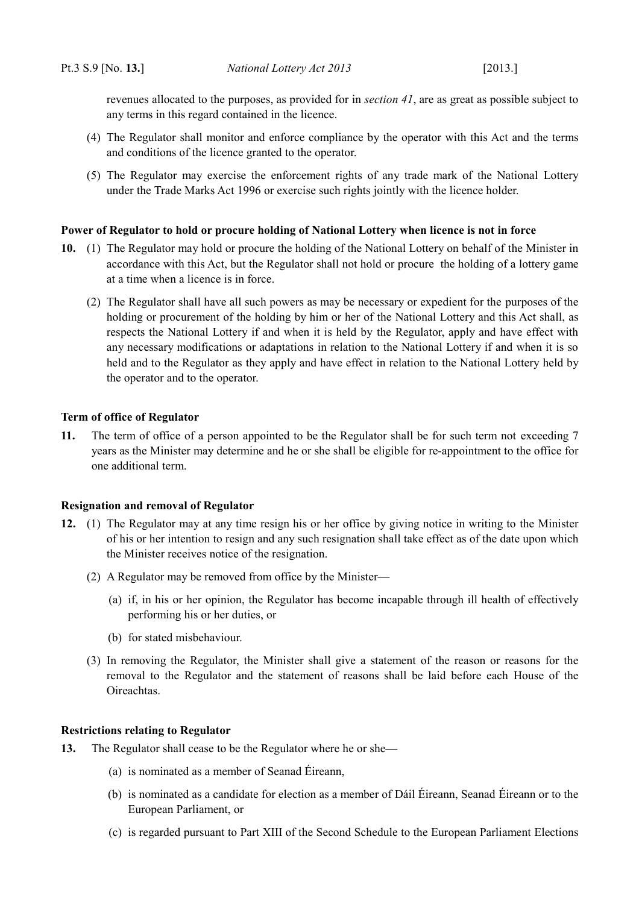revenues allocated to the purposes, as provided for in *section [41](#page-22-5)*, are as great as possible subject to any terms in this regard contained in the licence.

- (4) The Regulator shall monitor and enforce compliance by the operator with this Act and the terms and conditions of the licence granted to the operator.
- (5) The Regulator may exercise the enforcement rights of any trade mark of the National Lottery under the Trade Marks Act 1996 or exercise such rights jointly with the licence holder.

### <span id="page-9-3"></span>**Power of Regulator to hold or procure holding of National Lottery when licence is not in force**

- <span id="page-9-4"></span>**10.** (1) The Regulator may hold or procure the holding of the National Lottery on behalf of the Minister in accordance with this Act, but the Regulator shall not hold or procure the holding of a lottery game at a time when a licence is in force.
	- (2) The Regulator shall have all such powers as may be necessary or expedient for the purposes of the holding or procurement of the holding by him or her of the National Lottery and this Act shall, as respects the National Lottery if and when it is held by the Regulator, apply and have effect with any necessary modifications or adaptations in relation to the National Lottery if and when it is so held and to the Regulator as they apply and have effect in relation to the National Lottery held by the operator and to the operator.

### <span id="page-9-2"></span>**Term of office of Regulator**

**11.** The term of office of a person appointed to be the Regulator shall be for such term not exceeding 7 years as the Minister may determine and he or she shall be eligible for re-appointment to the office for one additional term.

### <span id="page-9-1"></span>**Resignation and removal of Regulator**

- **12.** (1) The Regulator may at any time resign his or her office by giving notice in writing to the Minister of his or her intention to resign and any such resignation shall take effect as of the date upon which the Minister receives notice of the resignation.
	- (2) A Regulator may be removed from office by the Minister—
		- (a) if, in his or her opinion, the Regulator has become incapable through ill health of effectively performing his or her duties, or
		- (b) for stated misbehaviour.
	- (3) In removing the Regulator, the Minister shall give a statement of the reason or reasons for the removal to the Regulator and the statement of reasons shall be laid before each House of the Oireachtas.

### <span id="page-9-0"></span>**Restrictions relating to Regulator**

- **13.** The Regulator shall cease to be the Regulator where he or she—
	- (a) is nominated as a member of Seanad Éireann,
	- (b) is nominated as a candidate for election as a member of Dáil Éireann, Seanad Éireann or to the European Parliament, or
	- (c) is regarded pursuant to Part XIII of the Second Schedule to the [European Parliament Elections](http://www.irishstatutebook.ie/1997/en/act/pub/0002/index.html)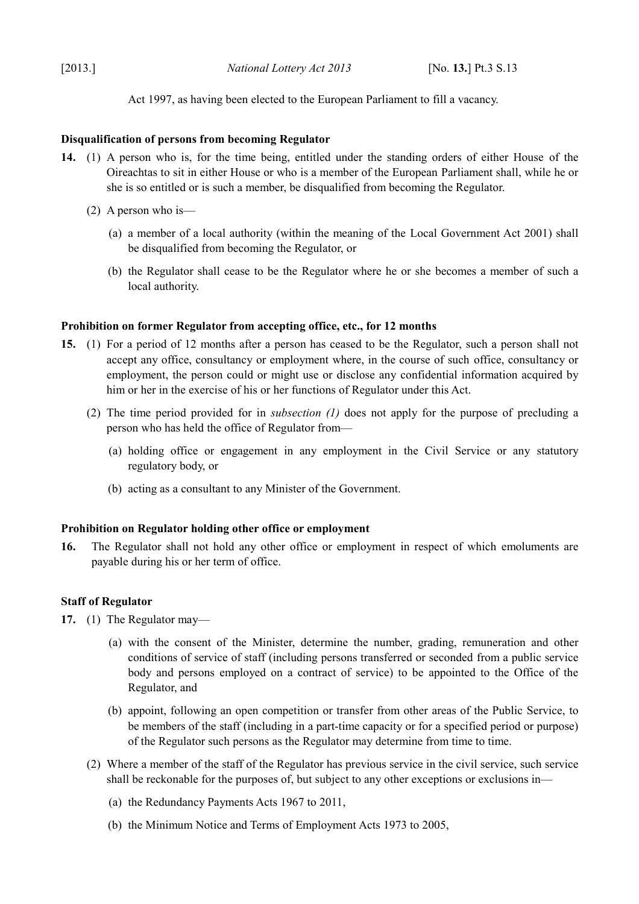[Act 1997,](http://www.irishstatutebook.ie/1997/en/act/pub/0002/index.html) as having been elected to the European Parliament to fill a vacancy.

### <span id="page-10-3"></span>**Disqualification of persons from becoming Regulator**

- **14.** (1) A person who is, for the time being, entitled under the standing orders of either House of the Oireachtas to sit in either House or who is a member of the European Parliament shall, while he or she is so entitled or is such a member, be disqualified from becoming the Regulator.
	- (2) A person who is—
		- (a) a member of a local authority (within the meaning of the [Local Government Act 2001\)](http://www.irishstatutebook.ie/2001/en/act/pub/0037/index.html) shall be disqualified from becoming the Regulator, or
		- (b) the Regulator shall cease to be the Regulator where he or she becomes a member of such a local authority.

### <span id="page-10-2"></span>**Prohibition on former Regulator from accepting office, etc., for 12 months**

- <span id="page-10-4"></span>**15.** (1) For a period of 12 months after a person has ceased to be the Regulator, such a person shall not accept any office, consultancy or employment where, in the course of such office, consultancy or employment, the person could or might use or disclose any confidential information acquired by him or her in the exercise of his or her functions of Regulator under this Act.
	- (2) The time period provided for in *subsection [\(1\)](#page-10-4)* does not apply for the purpose of precluding a person who has held the office of Regulator from—
		- (a) holding office or engagement in any employment in the Civil Service or any statutory regulatory body, or
		- (b) acting as a consultant to any Minister of the Government.

### <span id="page-10-1"></span>**Prohibition on Regulator holding other office or employment**

**16.** The Regulator shall not hold any other office or employment in respect of which emoluments are payable during his or her term of office.

### <span id="page-10-0"></span>**Staff of Regulator**

- **17.** (1) The Regulator may—
	- (a) with the consent of the Minister, determine the number, grading, remuneration and other conditions of service of staff (including persons transferred or seconded from a public service body and persons employed on a contract of service) to be appointed to the Office of the Regulator, and
	- (b) appoint, following an open competition or transfer from other areas of the Public Service, to be members of the staff (including in a part-time capacity or for a specified period or purpose) of the Regulator such persons as the Regulator may determine from time to time.
	- (2) Where a member of the staff of the Regulator has previous service in the civil service, such service shall be reckonable for the purposes of, but subject to any other exceptions or exclusions in—
		- (a) the Redundancy Payments Acts 1967 to 2011,
		- (b) the Minimum Notice and Terms of Employment Acts 1973 to 2005,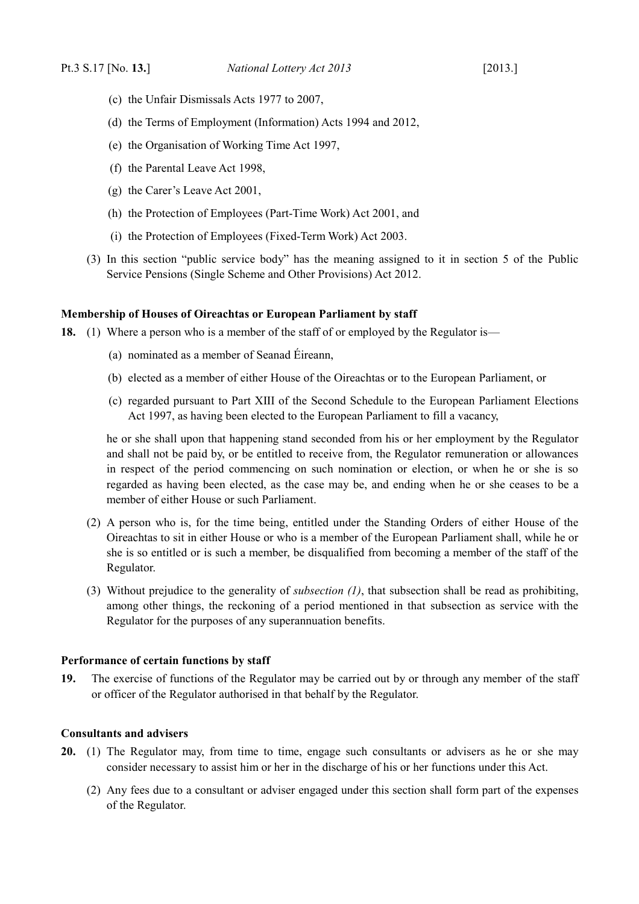- (c) the Unfair Dismissals Acts 1977 to 2007,
- (d) the Terms of Employment (Information) Acts 1994 and 2012,
- (e) the [Organisation of Working Time Act 1997,](http://www.irishstatutebook.ie/1997/en/act/pub/0020/index.html)
- (f) the [Parental Leave Act 1998,](http://www.irishstatutebook.ie/1998/en/act/pub/0030/index.html)
- (g) the [Carer's Leave Act 2001,](http://www.irishstatutebook.ie/2001/en/act/pub/0019/index.html)
- (h) the [Protection of Employees \(Part-Time Work\) Act 2001,](http://www.irishstatutebook.ie/2001/en/act/pub/0045/index.html) and
- (i) the [Protection of Employees \(Fixed-Term Work\) Act 2003.](http://www.irishstatutebook.ie/2003/en/act/pub/0029/index.html)
- (3) In this section "public service body" has the meaning assigned to it in section 5 of the [Public](http://www.irishstatutebook.ie/2012/en/act/pub/0037/index.html) [Service Pensions \(Single Scheme and Other Provisions\) Act 2012.](http://www.irishstatutebook.ie/2012/en/act/pub/0037/index.html)

### <span id="page-11-2"></span>**Membership of Houses of Oireachtas or European Parliament by staff**

<span id="page-11-3"></span>**18.** (1) Where a person who is a member of the staff of or employed by the Regulator is—

- (a) nominated as a member of Seanad Éireann,
- (b) elected as a member of either House of the Oireachtas or to the European Parliament, or
- (c) regarded pursuant to Part XIII of the Second Schedule to the [European Parliament Elections](http://www.irishstatutebook.ie/1997/en/act/pub/0002/index.html) [Act 1997,](http://www.irishstatutebook.ie/1997/en/act/pub/0002/index.html) as having been elected to the European Parliament to fill a vacancy,

he or she shall upon that happening stand seconded from his or her employment by the Regulator and shall not be paid by, or be entitled to receive from, the Regulator remuneration or allowances in respect of the period commencing on such nomination or election, or when he or she is so regarded as having been elected, as the case may be, and ending when he or she ceases to be a member of either House or such Parliament.

- (2) A person who is, for the time being, entitled under the Standing Orders of either House of the Oireachtas to sit in either House or who is a member of the European Parliament shall, while he or she is so entitled or is such a member, be disqualified from becoming a member of the staff of the Regulator.
- (3) Without prejudice to the generality of *subsection [\(1\)](#page-11-3)*, that subsection shall be read as prohibiting, among other things, the reckoning of a period mentioned in that subsection as service with the Regulator for the purposes of any superannuation benefits.

# <span id="page-11-1"></span>**Performance of certain functions by staff**

**19.** The exercise of functions of the Regulator may be carried out by or through any member of the staff or officer of the Regulator authorised in that behalf by the Regulator.

# <span id="page-11-0"></span>**Consultants and advisers**

- **20.** (1) The Regulator may, from time to time, engage such consultants or advisers as he or she may consider necessary to assist him or her in the discharge of his or her functions under this Act.
	- (2) Any fees due to a consultant or adviser engaged under this section shall form part of the expenses of the Regulator.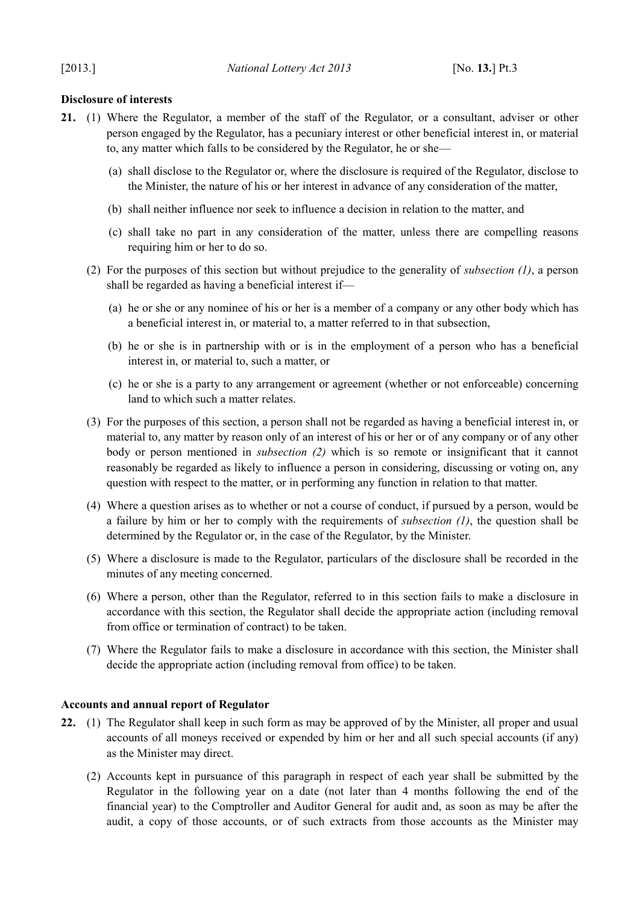# <span id="page-12-1"></span>**Disclosure of interests**

- <span id="page-12-3"></span><span id="page-12-2"></span>**21.** (1) Where the Regulator, a member of the staff of the Regulator, or a consultant, adviser or other person engaged by the Regulator, has a pecuniary interest or other beneficial interest in, or material to, any matter which falls to be considered by the Regulator, he or she—
	- (a) shall disclose to the Regulator or, where the disclosure is required of the Regulator, disclose to the Minister, the nature of his or her interest in advance of any consideration of the matter,
	- (b) shall neither influence nor seek to influence a decision in relation to the matter, and
	- (c) shall take no part in any consideration of the matter, unless there are compelling reasons requiring him or her to do so.
	- (2) For the purposes of this section but without prejudice to the generality of *subsection [\(1\)](#page-12-2)*, a person shall be regarded as having a beneficial interest if—
		- (a) he or she or any nominee of his or her is a member of a company or any other body which has a beneficial interest in, or material to, a matter referred to in that subsection,
		- (b) he or she is in partnership with or is in the employment of a person who has a beneficial interest in, or material to, such a matter, or
		- (c) he or she is a party to any arrangement or agreement (whether or not enforceable) concerning land to which such a matter relates.
	- (3) For the purposes of this section, a person shall not be regarded as having a beneficial interest in, or material to, any matter by reason only of an interest of his or her or of any company or of any other body or person mentioned in *subsection [\(2\)](#page-12-3)* which is so remote or insignificant that it cannot reasonably be regarded as likely to influence a person in considering, discussing or voting on, any question with respect to the matter, or in performing any function in relation to that matter.
	- (4) Where a question arises as to whether or not a course of conduct, if pursued by a person, would be a failure by him or her to comply with the requirements of *subsection [\(1\)](#page-12-2)*, the question shall be determined by the Regulator or, in the case of the Regulator, by the Minister.
	- (5) Where a disclosure is made to the Regulator, particulars of the disclosure shall be recorded in the minutes of any meeting concerned.
	- (6) Where a person, other than the Regulator, referred to in this section fails to make a disclosure in accordance with this section, the Regulator shall decide the appropriate action (including removal from office or termination of contract) to be taken.
	- (7) Where the Regulator fails to make a disclosure in accordance with this section, the Minister shall decide the appropriate action (including removal from office) to be taken.

# <span id="page-12-0"></span>**Accounts and annual report of Regulator**

- <span id="page-12-4"></span>**22.** (1) The Regulator shall keep in such form as may be approved of by the Minister, all proper and usual accounts of all moneys received or expended by him or her and all such special accounts (if any) as the Minister may direct.
	- (2) Accounts kept in pursuance of this paragraph in respect of each year shall be submitted by the Regulator in the following year on a date (not later than 4 months following the end of the financial year) to the Comptroller and Auditor General for audit and, as soon as may be after the audit, a copy of those accounts, or of such extracts from those accounts as the Minister may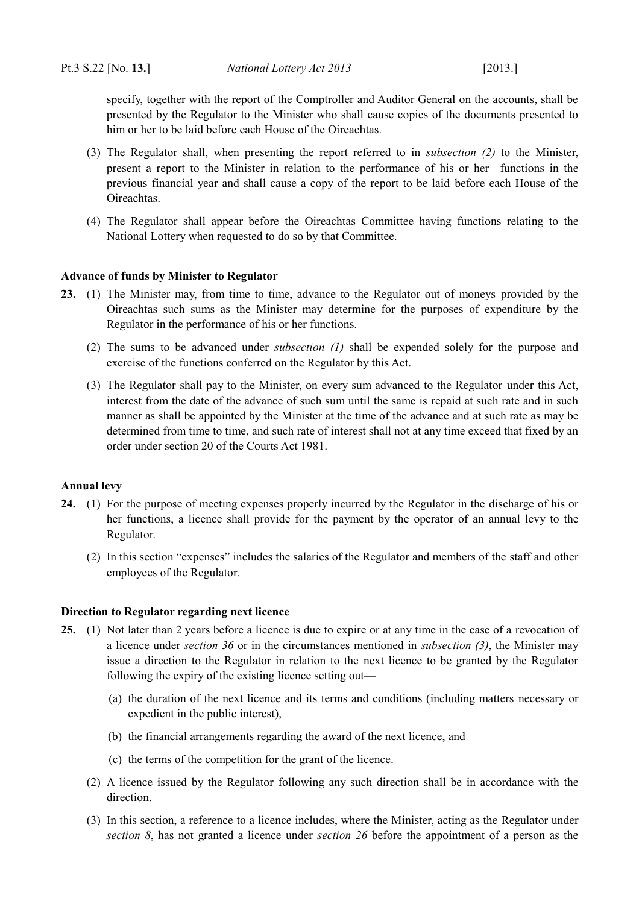specify, together with the report of the Comptroller and Auditor General on the accounts, shall be presented by the Regulator to the Minister who shall cause copies of the documents presented to him or her to be laid before each House of the Oireachtas.

- (3) The Regulator shall, when presenting the report referred to in *subsection [\(2\)](#page-12-4)* to the Minister, present a report to the Minister in relation to the performance of his or her functions in the previous financial year and shall cause a copy of the report to be laid before each House of the Oireachtas.
- (4) The Regulator shall appear before the Oireachtas Committee having functions relating to the National Lottery when requested to do so by that Committee.

# <span id="page-13-2"></span>**Advance of funds by Minister to Regulator**

- <span id="page-13-4"></span>**23.** (1) The Minister may, from time to time, advance to the Regulator out of moneys provided by the Oireachtas such sums as the Minister may determine for the purposes of expenditure by the Regulator in the performance of his or her functions.
	- (2) The sums to be advanced under *subsection [\(1\)](#page-13-4)* shall be expended solely for the purpose and exercise of the functions conferred on the Regulator by this Act.
	- (3) The Regulator shall pay to the Minister, on every sum advanced to the Regulator under this Act, interest from the date of the advance of such sum until the same is repaid at such rate and in such manner as shall be appointed by the Minister at the time of the advance and at such rate as may be determined from time to time, and such rate of interest shall not at any time exceed that fixed by an order under section 20 of the [Courts Act 1981.](http://www.irishstatutebook.ie/1981/en/act/pub/0011/index.html)

# <span id="page-13-1"></span>**Annual levy**

- <span id="page-13-6"></span>**24.** (1) For the purpose of meeting expenses properly incurred by the Regulator in the discharge of his or her functions, a licence shall provide for the payment by the operator of an annual levy to the Regulator.
	- (2) In this section "expenses" includes the salaries of the Regulator and members of the staff and other employees of the Regulator.

# <span id="page-13-0"></span>**Direction to Regulator regarding next licence**

- <span id="page-13-5"></span><span id="page-13-3"></span>**25.** (1) Not later than 2 years before a licence is due to expire or at any time in the case of a revocation of a licence under *section [36](#page-19-1)* or in the circumstances mentioned in *subsection [\(3\)](#page-13-3)*, the Minister may issue a direction to the Regulator in relation to the next licence to be granted by the Regulator following the expiry of the existing licence setting out—
	- (a) the duration of the next licence and its terms and conditions (including matters necessary or expedient in the public interest),
	- (b) the financial arrangements regarding the award of the next licence, and
	- (c) the terms of the competition for the grant of the licence.
	- (2) A licence issued by the Regulator following any such direction shall be in accordance with the direction.
	- (3) In this section, a reference to a licence includes, where the Minister, acting as the Regulator under *section [8](#page-8-8)*, has not granted a licence under *section [26](#page-14-4)* before the appointment of a person as the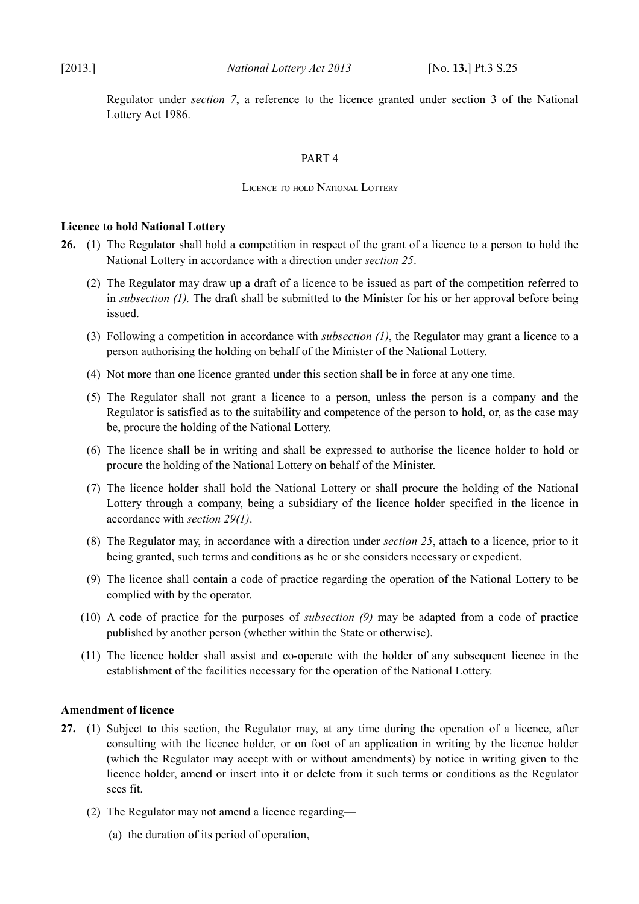Regulator under *section [7](#page-8-10)*, a reference to the licence granted under section 3 of the National Lottery Act 1986.

# <span id="page-14-3"></span>PART 4

### <span id="page-14-2"></span>LICENCE TO HOLD NATIONAL LOTTERY

### <span id="page-14-1"></span>**Licence to hold National Lottery**

- <span id="page-14-6"></span><span id="page-14-4"></span>**26.** (1) The Regulator shall hold a competition in respect of the grant of a licence to a person to hold the National Lottery in accordance with a direction under *section [25](#page-13-5)*.
	- (2) The Regulator may draw up a draft of a licence to be issued as part of the competition referred to in *subsection (1)*. The draft shall be submitted to the Minister for his or her approval before being issued.
	- (3) Following a competition in accordance with *subsection [\(1\)](#page-14-6)*, the Regulator may grant a licence to a person authorising the holding on behalf of the Minister of the National Lottery.
	- (4) Not more than one licence granted under this section shall be in force at any one time.
	- (5) The Regulator shall not grant a licence to a person, unless the person is a company and the Regulator is satisfied as to the suitability and competence of the person to hold, or, as the case may be, procure the holding of the National Lottery.
	- (6) The licence shall be in writing and shall be expressed to authorise the licence holder to hold or procure the holding of the National Lottery on behalf of the Minister.
	- (7) The licence holder shall hold the National Lottery or shall procure the holding of the National Lottery through a company, being a subsidiary of the licence holder specified in the licence in accordance with *section [29](#page-15-4)[\(1\)](#page-15-5)*.
	- (8) The Regulator may, in accordance with a direction under *section [25](#page-13-5)*, attach to a licence, prior to it being granted, such terms and conditions as he or she considers necessary or expedient.
	- (9) The licence shall contain a code of practice regarding the operation of the National Lottery to be complied with by the operator.
	- (10) A code of practice for the purposes of *subsection [\(9\)](#page-14-5)* may be adapted from a code of practice published by another person (whether within the State or otherwise).
	- (11) The licence holder shall assist and co-operate with the holder of any subsequent licence in the establishment of the facilities necessary for the operation of the National Lottery.

# <span id="page-14-5"></span><span id="page-14-0"></span>**Amendment of licence**

- <span id="page-14-7"></span>**27.** (1) Subject to this section, the Regulator may, at any time during the operation of a licence, after consulting with the licence holder, or on foot of an application in writing by the licence holder (which the Regulator may accept with or without amendments) by notice in writing given to the licence holder, amend or insert into it or delete from it such terms or conditions as the Regulator sees fit.
	- (2) The Regulator may not amend a licence regarding—
		- (a) the duration of its period of operation,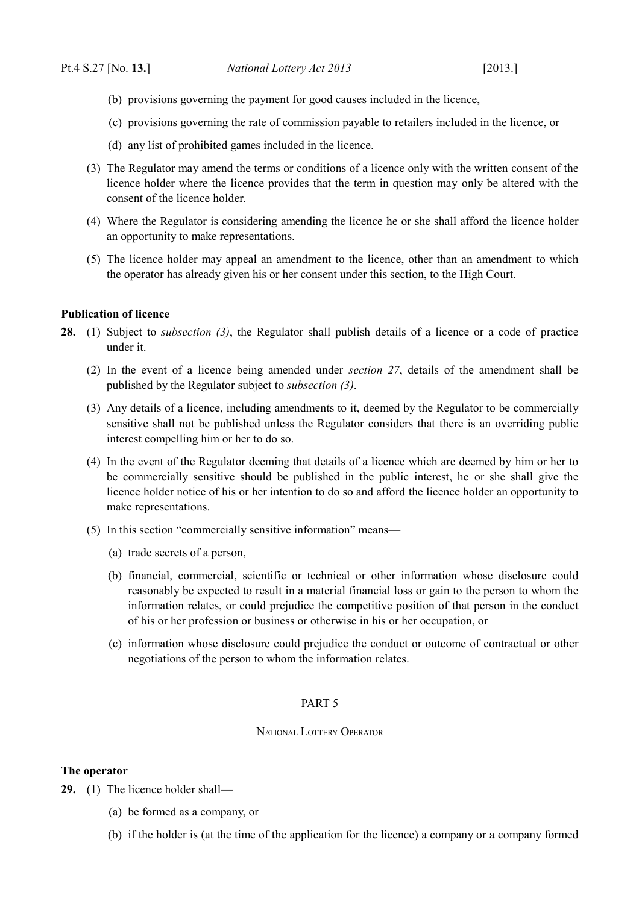- (b) provisions governing the payment for good causes included in the licence,
- (c) provisions governing the rate of commission payable to retailers included in the licence, or
- (d) any list of prohibited games included in the licence.
- (3) The Regulator may amend the terms or conditions of a licence only with the written consent of the licence holder where the licence provides that the term in question may only be altered with the consent of the licence holder.
- (4) Where the Regulator is considering amending the licence he or she shall afford the licence holder an opportunity to make representations.
- (5) The licence holder may appeal an amendment to the licence, other than an amendment to which the operator has already given his or her consent under this section, to the High Court.

### <span id="page-15-3"></span>**Publication of licence**

- <span id="page-15-6"></span>**28.** (1) Subject to *subsection [\(3\)](#page-15-6)*, the Regulator shall publish details of a licence or a code of practice under it.
	- (2) In the event of a licence being amended under *section [27](#page-14-7)*, details of the amendment shall be published by the Regulator subject to *subsection [\(3\)](#page-15-6)*.
	- (3) Any details of a licence, including amendments to it, deemed by the Regulator to be commercially sensitive shall not be published unless the Regulator considers that there is an overriding public interest compelling him or her to do so.
	- (4) In the event of the Regulator deeming that details of a licence which are deemed by him or her to be commercially sensitive should be published in the public interest, he or she shall give the licence holder notice of his or her intention to do so and afford the licence holder an opportunity to make representations.
	- (5) In this section "commercially sensitive information" means—
		- (a) trade secrets of a person,
		- (b) financial, commercial, scientific or technical or other information whose disclosure could reasonably be expected to result in a material financial loss or gain to the person to whom the information relates, or could prejudice the competitive position of that person in the conduct of his or her profession or business or otherwise in his or her occupation, or
		- (c) information whose disclosure could prejudice the conduct or outcome of contractual or other negotiations of the person to whom the information relates.

# <span id="page-15-2"></span>PART 5

#### <span id="page-15-1"></span>NATIONAL LOTTERY OPERATOR

### <span id="page-15-0"></span>**The operator**

- <span id="page-15-5"></span><span id="page-15-4"></span>**29.** (1) The licence holder shall—
	- (a) be formed as a company, or
	- (b) if the holder is (at the time of the application for the licence) a company or a company formed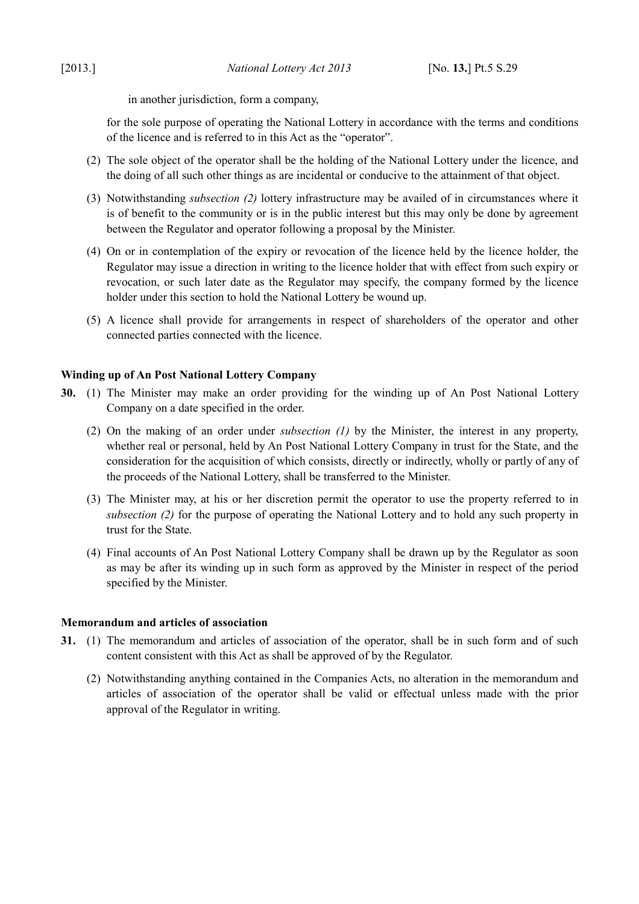in another jurisdiction, form a company,

for the sole purpose of operating the National Lottery in accordance with the terms and conditions of the licence and is referred to in this Act as the "operator".

- <span id="page-16-4"></span>(2) The sole object of the operator shall be the holding of the National Lottery under the licence, and the doing of all such other things as are incidental or conducive to the attainment of that object.
- (3) Notwithstanding *subsection [\(2\)](#page-16-4)* lottery infrastructure may be availed of in circumstances where it is of benefit to the community or is in the public interest but this may only be done by agreement between the Regulator and operator following a proposal by the Minister.
- (4) On or in contemplation of the expiry or revocation of the licence held by the licence holder, the Regulator may issue a direction in writing to the licence holder that with effect from such expiry or revocation, or such later date as the Regulator may specify, the company formed by the licence holder under this section to hold the National Lottery be wound up.
- (5) A licence shall provide for arrangements in respect of shareholders of the operator and other connected parties connected with the licence.

# <span id="page-16-1"></span>**Winding up of An Post National Lottery Company**

- <span id="page-16-3"></span><span id="page-16-2"></span>**30.** (1) The Minister may make an order providing for the winding up of An Post National Lottery Company on a date specified in the order.
	- (2) On the making of an order under *subsection [\(1\)](#page-16-3)* by the Minister, the interest in any property, whether real or personal, held by An Post National Lottery Company in trust for the State, and the consideration for the acquisition of which consists, directly or indirectly, wholly or partly of any of the proceeds of the National Lottery, shall be transferred to the Minister.
	- (3) The Minister may, at his or her discretion permit the operator to use the property referred to in *subsection [\(2\)](#page-16-2)* for the purpose of operating the National Lottery and to hold any such property in trust for the State.
	- (4) Final accounts of An Post National Lottery Company shall be drawn up by the Regulator as soon as may be after its winding up in such form as approved by the Minister in respect of the period specified by the Minister.

# <span id="page-16-0"></span>**Memorandum and articles of association**

- **31.** (1) The memorandum and articles of association of the operator, shall be in such form and of such content consistent with this Act as shall be approved of by the Regulator.
	- (2) Notwithstanding anything contained in the Companies Acts, no alteration in the memorandum and articles of association of the operator shall be valid or effectual unless made with the prior approval of the Regulator in writing.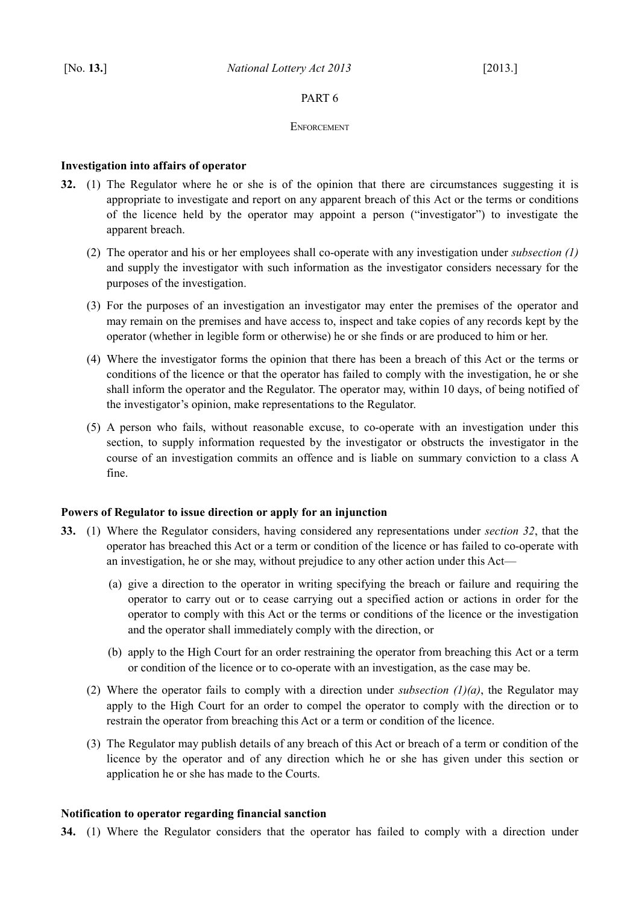# <span id="page-17-4"></span>PART 6

### <span id="page-17-3"></span>**ENFORCEMENT**

# <span id="page-17-2"></span>**Investigation into affairs of operator**

- <span id="page-17-8"></span><span id="page-17-7"></span>**32.** (1) The Regulator where he or she is of the opinion that there are circumstances suggesting it is appropriate to investigate and report on any apparent breach of this Act or the terms or conditions of the licence held by the operator may appoint a person ("investigator") to investigate the apparent breach.
	- (2) The operator and his or her employees shall co-operate with any investigation under *subsection [\(1\)](#page-17-8)* and supply the investigator with such information as the investigator considers necessary for the purposes of the investigation.
	- (3) For the purposes of an investigation an investigator may enter the premises of the operator and may remain on the premises and have access to, inspect and take copies of any records kept by the operator (whether in legible form or otherwise) he or she finds or are produced to him or her.
	- (4) Where the investigator forms the opinion that there has been a breach of this Act or the terms or conditions of the licence or that the operator has failed to comply with the investigation, he or she shall inform the operator and the Regulator. The operator may, within 10 days, of being notified of the investigator's opinion, make representations to the Regulator.
	- (5) A person who fails, without reasonable excuse, to co-operate with an investigation under this section, to supply information requested by the investigator or obstructs the investigator in the course of an investigation commits an offence and is liable on summary conviction to a class A fine.

# <span id="page-17-1"></span>**Powers of Regulator to issue direction or apply for an injunction**

- <span id="page-17-11"></span><span id="page-17-6"></span><span id="page-17-5"></span>**33.** (1) Where the Regulator considers, having considered any representations under *section [32](#page-17-7)*, that the operator has breached this Act or a term or condition of the licence or has failed to co-operate with an investigation, he or she may, without prejudice to any other action under this Act—
	- (a) give a direction to the operator in writing specifying the breach or failure and requiring the operator to carry out or to cease carrying out a specified action or actions in order for the operator to comply with this Act or the terms or conditions of the licence or the investigation and the operator shall immediately comply with the direction, or
	- (b) apply to the High Court for an order restraining the operator from breaching this Act or a term or condition of the licence or to co-operate with an investigation, as the case may be.
	- (2) Where the operator fails to comply with a direction under *subsection [\(1\)](#page-17-6)[\(a\)](#page-17-5)*, the Regulator may apply to the High Court for an order to compel the operator to comply with the direction or to restrain the operator from breaching this Act or a term or condition of the licence.
	- (3) The Regulator may publish details of any breach of this Act or breach of a term or condition of the licence by the operator and of any direction which he or she has given under this section or application he or she has made to the Courts.

# <span id="page-17-0"></span>**Notification to operator regarding financial sanction**

<span id="page-17-10"></span><span id="page-17-9"></span>**34.** (1) Where the Regulator considers that the operator has failed to comply with a direction under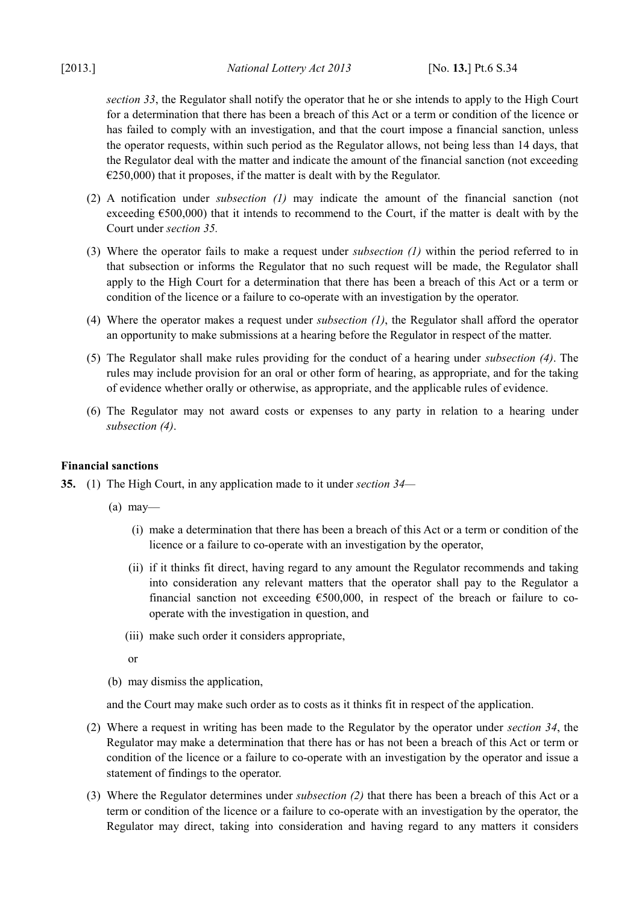*section [33](#page-17-11)*, the Regulator shall notify the operator that he or she intends to apply to the High Court for a determination that there has been a breach of this Act or a term or condition of the licence or has failed to comply with an investigation, and that the court impose a financial sanction, unless the operator requests, within such period as the Regulator allows, not being less than 14 days, that the Regulator deal with the matter and indicate the amount of the financial sanction (not exceeding  $E$  (250,000) that it proposes, if the matter is dealt with by the Regulator.

- (2) A notification under *subsection [\(1\)](#page-17-10)* may indicate the amount of the financial sanction (not exceeding €500,000) that it intends to recommend to the Court, if the matter is dealt with by the Court under *section [35.](#page-18-3)*
- (3) Where the operator fails to make a request under *subsection [\(1\)](#page-17-10)* within the period referred to in that subsection or informs the Regulator that no such request will be made, the Regulator shall apply to the High Court for a determination that there has been a breach of this Act or a term or condition of the licence or a failure to co-operate with an investigation by the operator.
- <span id="page-18-2"></span>(4) Where the operator makes a request under *subsection [\(1\)](#page-17-10)*, the Regulator shall afford the operator an opportunity to make submissions at a hearing before the Regulator in respect of the matter.
- (5) The Regulator shall make rules providing for the conduct of a hearing under *subsection [\(4\)](#page-18-2)*. The rules may include provision for an oral or other form of hearing, as appropriate, and for the taking of evidence whether orally or otherwise, as appropriate, and the applicable rules of evidence.
- (6) The Regulator may not award costs or expenses to any party in relation to a hearing under *subsection [\(4\)](#page-18-2)*.

# <span id="page-18-0"></span>**Financial sanctions**

<span id="page-18-5"></span><span id="page-18-3"></span>**35.** (1) The High Court, in any application made to it under *section [34—](#page-17-9)*

- $(a)$  may—
	- (i) make a determination that there has been a breach of this Act or a term or condition of the licence or a failure to co-operate with an investigation by the operator,
	- (ii) if it thinks fit direct, having regard to any amount the Regulator recommends and taking into consideration any relevant matters that the operator shall pay to the Regulator a financial sanction not exceeding  $\epsilon$ 500,000, in respect of the breach or failure to cooperate with the investigation in question, and
	- (iii) make such order it considers appropriate,
	- or

(b) may dismiss the application,

and the Court may make such order as to costs as it thinks fit in respect of the application.

- <span id="page-18-1"></span>(2) Where a request in writing has been made to the Regulator by the operator under *section [34](#page-17-9)*, the Regulator may make a determination that there has or has not been a breach of this Act or term or condition of the licence or a failure to co-operate with an investigation by the operator and issue a statement of findings to the operator.
- <span id="page-18-4"></span>(3) Where the Regulator determines under *subsection [\(2\)](#page-18-1)* that there has been a breach of this Act or a term or condition of the licence or a failure to co-operate with an investigation by the operator, the Regulator may direct, taking into consideration and having regard to any matters it considers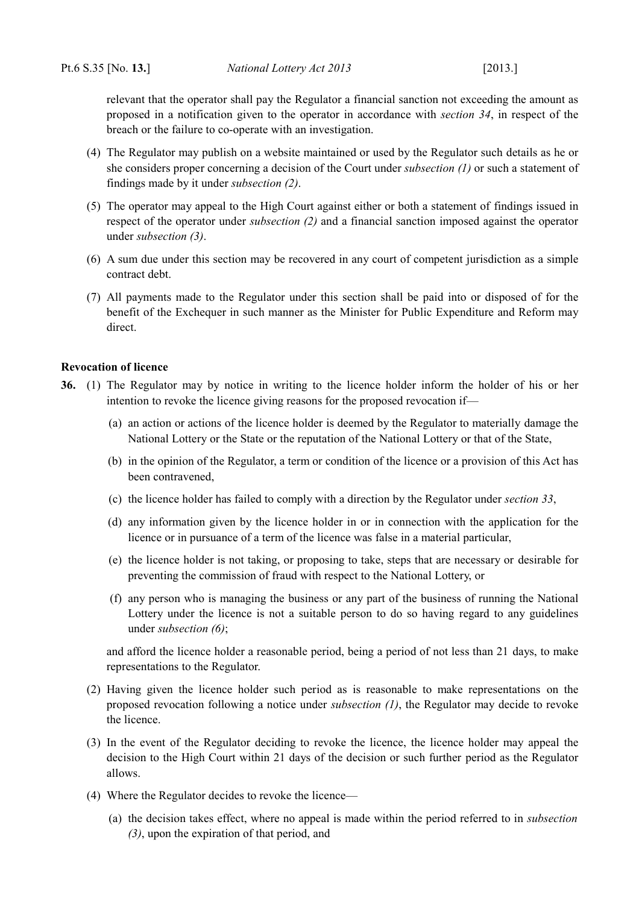relevant that the operator shall pay the Regulator a financial sanction not exceeding the amount as proposed in a notification given to the operator in accordance with *section [34](#page-17-9)*, in respect of the breach or the failure to co-operate with an investigation.

- (4) The Regulator may publish on a website maintained or used by the Regulator such details as he or she considers proper concerning a decision of the Court under *subsection [\(1\)](#page-18-5)* or such a statement of findings made by it under *subsection [\(2\)](#page-18-1)*.
- (5) The operator may appeal to the High Court against either or both a statement of findings issued in respect of the operator under *subsection [\(2\)](#page-18-1)* and a financial sanction imposed against the operator under *subsection [\(3\)](#page-18-4)*.
- (6) A sum due under this section may be recovered in any court of competent jurisdiction as a simple contract debt.
- (7) All payments made to the Regulator under this section shall be paid into or disposed of for the benefit of the Exchequer in such manner as the Minister for Public Expenditure and Reform may direct.

### <span id="page-19-0"></span>**Revocation of licence**

- <span id="page-19-3"></span><span id="page-19-1"></span>**36.** (1) The Regulator may by notice in writing to the licence holder inform the holder of his or her intention to revoke the licence giving reasons for the proposed revocation if—
	- (a) an action or actions of the licence holder is deemed by the Regulator to materially damage the National Lottery or the State or the reputation of the National Lottery or that of the State,
	- (b) in the opinion of the Regulator, a term or condition of the licence or a provision of this Act has been contravened,
	- (c) the licence holder has failed to comply with a direction by the Regulator under *section [33](#page-17-11)*,
	- (d) any information given by the licence holder in or in connection with the application for the licence or in pursuance of a term of the licence was false in a material particular,
	- (e) the licence holder is not taking, or proposing to take, steps that are necessary or desirable for preventing the commission of fraud with respect to the National Lottery, or
	- (f) any person who is managing the business or any part of the business of running the National Lottery under the licence is not a suitable person to do so having regard to any guidelines under *subsection [\(6\)](#page-20-2)*;

and afford the licence holder a reasonable period, being a period of not less than 21 days, to make representations to the Regulator.

- (2) Having given the licence holder such period as is reasonable to make representations on the proposed revocation following a notice under *subsection [\(1\)](#page-19-3)*, the Regulator may decide to revoke the licence.
- <span id="page-19-2"></span>(3) In the event of the Regulator deciding to revoke the licence, the licence holder may appeal the decision to the High Court within 21 days of the decision or such further period as the Regulator allows.
- (4) Where the Regulator decides to revoke the licence—
	- (a) the decision takes effect, where no appeal is made within the period referred to in *subsection [\(3\)](#page-19-2)*, upon the expiration of that period, and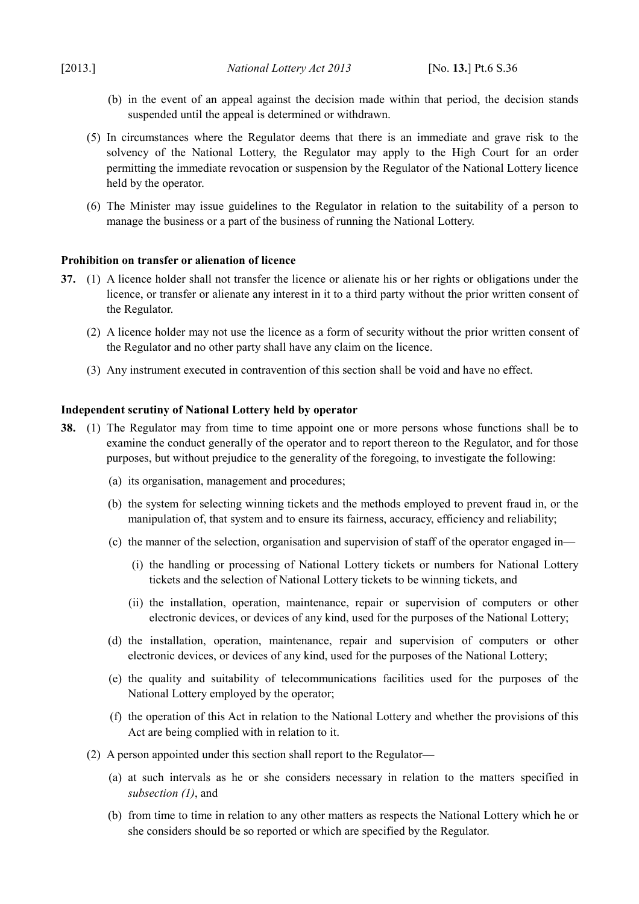- (b) in the event of an appeal against the decision made within that period, the decision stands suspended until the appeal is determined or withdrawn.
- (5) In circumstances where the Regulator deems that there is an immediate and grave risk to the solvency of the National Lottery, the Regulator may apply to the High Court for an order permitting the immediate revocation or suspension by the Regulator of the National Lottery licence held by the operator.
- <span id="page-20-2"></span>(6) The Minister may issue guidelines to the Regulator in relation to the suitability of a person to manage the business or a part of the business of running the National Lottery.

### <span id="page-20-1"></span>**Prohibition on transfer or alienation of licence**

- **37.** (1) A licence holder shall not transfer the licence or alienate his or her rights or obligations under the licence, or transfer or alienate any interest in it to a third party without the prior written consent of the Regulator.
	- (2) A licence holder may not use the licence as a form of security without the prior written consent of the Regulator and no other party shall have any claim on the licence.
	- (3) Any instrument executed in contravention of this section shall be void and have no effect.

### <span id="page-20-0"></span>**Independent scrutiny of National Lottery held by operator**

- <span id="page-20-3"></span>**38.** (1) The Regulator may from time to time appoint one or more persons whose functions shall be to examine the conduct generally of the operator and to report thereon to the Regulator, and for those purposes, but without prejudice to the generality of the foregoing, to investigate the following:
	- (a) its organisation, management and procedures;
	- (b) the system for selecting winning tickets and the methods employed to prevent fraud in, or the manipulation of, that system and to ensure its fairness, accuracy, efficiency and reliability;
	- (c) the manner of the selection, organisation and supervision of staff of the operator engaged in—
		- (i) the handling or processing of National Lottery tickets or numbers for National Lottery tickets and the selection of National Lottery tickets to be winning tickets, and
		- (ii) the installation, operation, maintenance, repair or supervision of computers or other electronic devices, or devices of any kind, used for the purposes of the National Lottery;
	- (d) the installation, operation, maintenance, repair and supervision of computers or other electronic devices, or devices of any kind, used for the purposes of the National Lottery;
	- (e) the quality and suitability of telecommunications facilities used for the purposes of the National Lottery employed by the operator;
	- (f) the operation of this Act in relation to the National Lottery and whether the provisions of this Act are being complied with in relation to it.
	- (2) A person appointed under this section shall report to the Regulator—
		- (a) at such intervals as he or she considers necessary in relation to the matters specified in *subsection [\(1\)](#page-20-3)*, and
		- (b) from time to time in relation to any other matters as respects the National Lottery which he or she considers should be so reported or which are specified by the Regulator.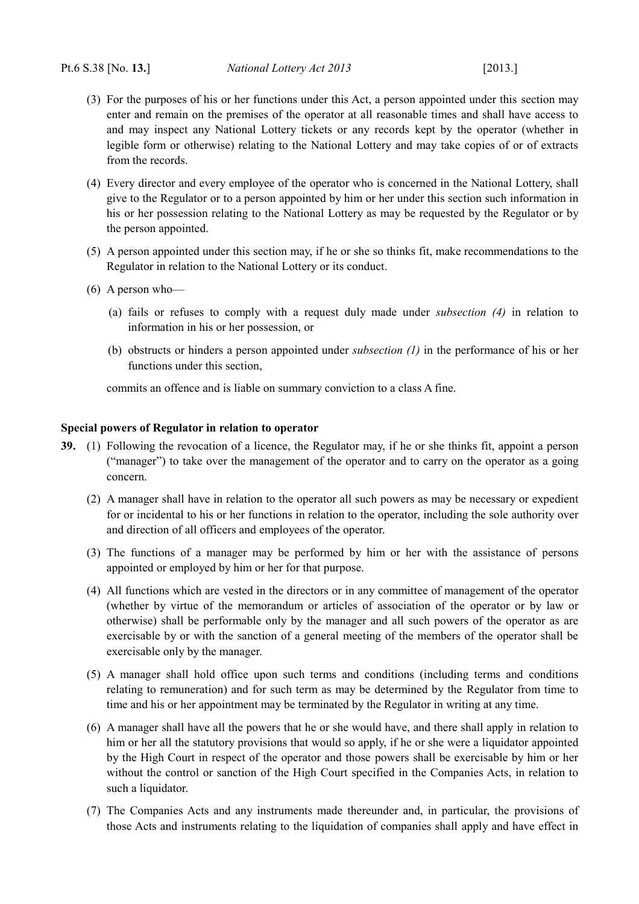- (3) For the purposes of his or her functions under this Act, a person appointed under this section may enter and remain on the premises of the operator at all reasonable times and shall have access to and may inspect any National Lottery tickets or any records kept by the operator (whether in legible form or otherwise) relating to the National Lottery and may take copies of or of extracts from the records.
- <span id="page-21-3"></span>(4) Every director and every employee of the operator who is concerned in the National Lottery, shall give to the Regulator or to a person appointed by him or her under this section such information in his or her possession relating to the National Lottery as may be requested by the Regulator or by the person appointed.
- (5) A person appointed under this section may, if he or she so thinks fit, make recommendations to the Regulator in relation to the National Lottery or its conduct.
- (6) A person who—
	- (a) fails or refuses to comply with a request duly made under *subsection [\(4\)](#page-21-3)* in relation to information in his or her possession, or
	- (b) obstructs or hinders a person appointed under *subsection [\(1\)](#page-20-3)* in the performance of his or her functions under this section,

commits an offence and is liable on summary conviction to a class A fine.

### <span id="page-21-0"></span>**Special powers of Regulator in relation to operator**

- <span id="page-21-4"></span><span id="page-21-2"></span><span id="page-21-1"></span>**39.** (1) Following the revocation of a licence, the Regulator may, if he or she thinks fit, appoint a person ("manager") to take over the management of the operator and to carry on the operator as a going concern.
	- (2) A manager shall have in relation to the operator all such powers as may be necessary or expedient for or incidental to his or her functions in relation to the operator, including the sole authority over and direction of all officers and employees of the operator.
	- (3) The functions of a manager may be performed by him or her with the assistance of persons appointed or employed by him or her for that purpose.
	- (4) All functions which are vested in the directors or in any committee of management of the operator (whether by virtue of the memorandum or articles of association of the operator or by law or otherwise) shall be performable only by the manager and all such powers of the operator as are exercisable by or with the sanction of a general meeting of the members of the operator shall be exercisable only by the manager.
	- (5) A manager shall hold office upon such terms and conditions (including terms and conditions relating to remuneration) and for such term as may be determined by the Regulator from time to time and his or her appointment may be terminated by the Regulator in writing at any time.
	- (6) A manager shall have all the powers that he or she would have, and there shall apply in relation to him or her all the statutory provisions that would so apply, if he or she were a liquidator appointed by the High Court in respect of the operator and those powers shall be exercisable by him or her without the control or sanction of the High Court specified in the Companies Acts, in relation to such a liquidator.
	- (7) The Companies Acts and any instruments made thereunder and, in particular, the provisions of those Acts and instruments relating to the liquidation of companies shall apply and have effect in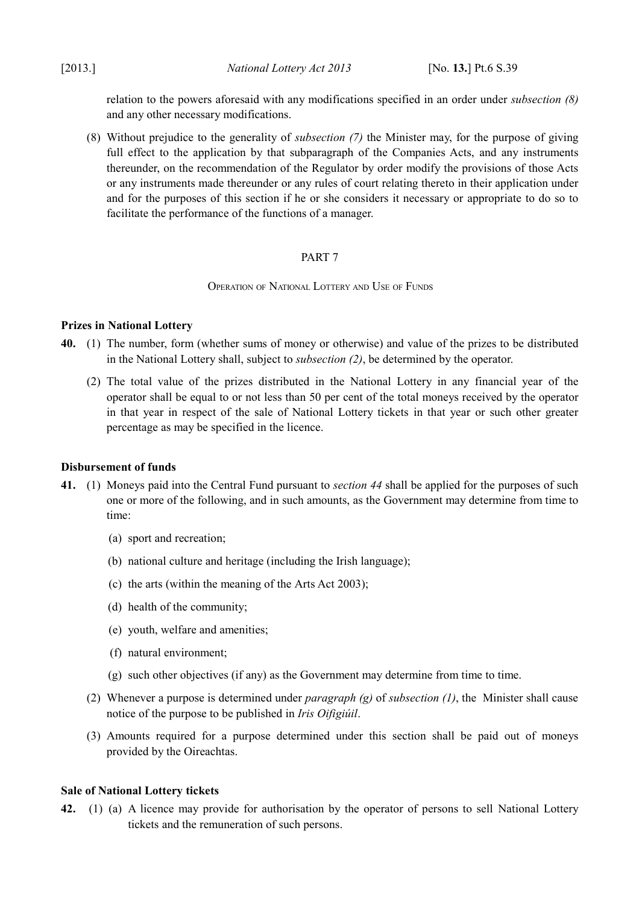relation to the powers aforesaid with any modifications specified in an order under *subsection [\(8\)](#page-22-9)* and any other necessary modifications.

<span id="page-22-9"></span>(8) Without prejudice to the generality of *subsection [\(7\)](#page-21-4)* the Minister may, for the purpose of giving full effect to the application by that subparagraph of the Companies Acts, and any instruments thereunder, on the recommendation of the Regulator by order modify the provisions of those Acts or any instruments made thereunder or any rules of court relating thereto in their application under and for the purposes of this section if he or she considers it necessary or appropriate to do so to facilitate the performance of the functions of a manager.

# <span id="page-22-4"></span>PART 7

<span id="page-22-3"></span>OPERATION OF NATIONAL LOTTERY AND USE OF FUNDS

# <span id="page-22-2"></span>**Prizes in National Lottery**

- <span id="page-22-8"></span>**40.** (1) The number, form (whether sums of money or otherwise) and value of the prizes to be distributed in the National Lottery shall, subject to *subsection [\(2\)](#page-22-8)*, be determined by the operator.
	- (2) The total value of the prizes distributed in the National Lottery in any financial year of the operator shall be equal to or not less than 50 per cent of the total moneys received by the operator in that year in respect of the sale of National Lottery tickets in that year or such other greater percentage as may be specified in the licence.

# <span id="page-22-1"></span>**Disbursement of funds**

- <span id="page-22-6"></span><span id="page-22-5"></span>**41.** (1) Moneys paid into the Central Fund pursuant to *section [44](#page-24-1)* shall be applied for the purposes of such one or more of the following, and in such amounts, as the Government may determine from time to time:
	- (a) sport and recreation;
	- (b) national culture and heritage (including the Irish language);
	- (c) the arts (within the meaning of the [Arts Act 2003\)](http://www.irishstatutebook.ie/2003/en/act/pub/0024/index.html);
	- (d) health of the community;
	- (e) youth, welfare and amenities;
	- (f) natural environment;
	- $(g)$  such other objectives (if any) as the Government may determine from time to time.
	- (2) Whenever a purpose is determined under *paragraph [\(g\)](#page-22-7)* of *subsection [\(1\)](#page-22-6)*, the Minister shall cause notice of the purpose to be published in *Iris Oifigiúil*.
	- (3) Amounts required for a purpose determined under this section shall be paid out of moneys provided by the Oireachtas.

# <span id="page-22-7"></span><span id="page-22-0"></span>**Sale of National Lottery tickets**

<span id="page-22-10"></span>**42.** (1) (a) A licence may provide for authorisation by the operator of persons to sell National Lottery tickets and the remuneration of such persons.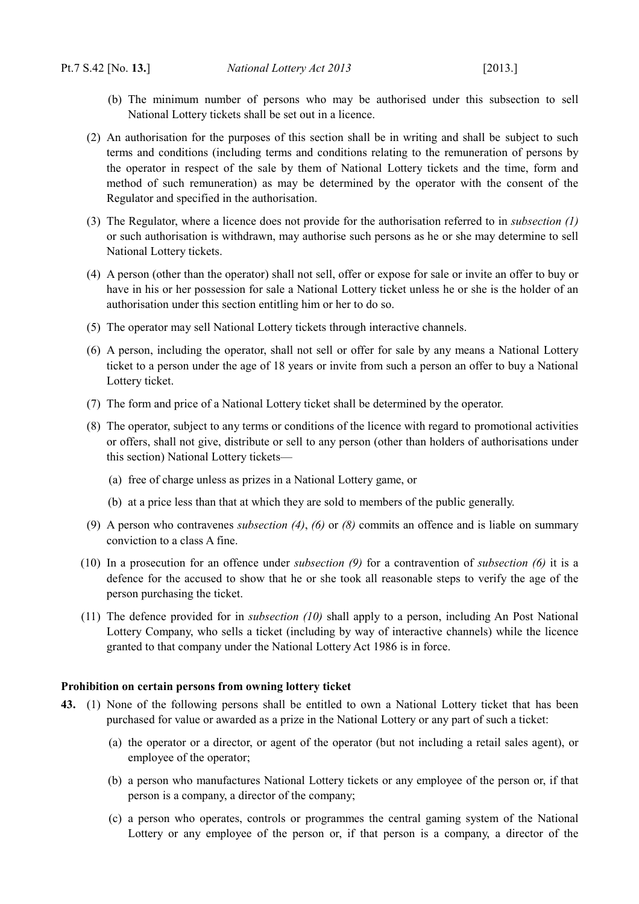- (b) The minimum number of persons who may be authorised under this subsection to sell National Lottery tickets shall be set out in a licence.
- (2) An authorisation for the purposes of this section shall be in writing and shall be subject to such terms and conditions (including terms and conditions relating to the remuneration of persons by the operator in respect of the sale by them of National Lottery tickets and the time, form and method of such remuneration) as may be determined by the operator with the consent of the Regulator and specified in the authorisation.
- (3) The Regulator, where a licence does not provide for the authorisation referred to in *subsection [\(1\)](#page-22-10)* or such authorisation is withdrawn, may authorise such persons as he or she may determine to sell National Lottery tickets.
- <span id="page-23-5"></span>(4) A person (other than the operator) shall not sell, offer or expose for sale or invite an offer to buy or have in his or her possession for sale a National Lottery ticket unless he or she is the holder of an authorisation under this section entitling him or her to do so.
- (5) The operator may sell National Lottery tickets through interactive channels.
- <span id="page-23-2"></span>(6) A person, including the operator, shall not sell or offer for sale by any means a National Lottery ticket to a person under the age of 18 years or invite from such a person an offer to buy a National Lottery ticket.
- (7) The form and price of a National Lottery ticket shall be determined by the operator.
- <span id="page-23-4"></span>(8) The operator, subject to any terms or conditions of the licence with regard to promotional activities or offers, shall not give, distribute or sell to any person (other than holders of authorisations under this section) National Lottery tickets—
	- (a) free of charge unless as prizes in a National Lottery game, or
	- (b) at a price less than that at which they are sold to members of the public generally.
- <span id="page-23-3"></span>(9) A person who contravenes *subsection [\(4\)](#page-23-5)*, *[\(6\)](#page-23-2)* or *[\(8\)](#page-23-4)* commits an offence and is liable on summary conviction to a class A fine.
- <span id="page-23-1"></span>(10) In a prosecution for an offence under *subsection [\(9\)](#page-23-3)* for a contravention of *subsection [\(6\)](#page-23-2)* it is a defence for the accused to show that he or she took all reasonable steps to verify the age of the person purchasing the ticket.
- (11) The defence provided for in *subsection [\(10\)](#page-23-1)* shall apply to a person, including An Post National Lottery Company, who sells a ticket (including by way of interactive channels) while the licence granted to that company under the National Lottery Act 1986 is in force.

### <span id="page-23-0"></span>**Prohibition on certain persons from owning lottery ticket**

- <span id="page-23-6"></span>**43.** (1) None of the following persons shall be entitled to own a National Lottery ticket that has been purchased for value or awarded as a prize in the National Lottery or any part of such a ticket:
	- (a) the operator or a director, or agent of the operator (but not including a retail sales agent), or employee of the operator;
	- (b) a person who manufactures National Lottery tickets or any employee of the person or, if that person is a company, a director of the company;
	- (c) a person who operates, controls or programmes the central gaming system of the National Lottery or any employee of the person or, if that person is a company, a director of the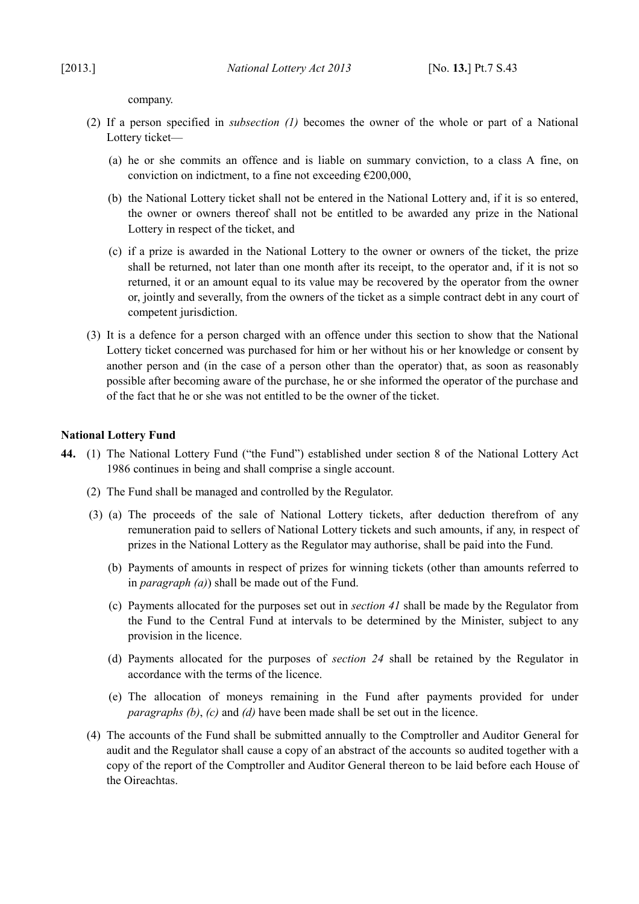company.

- (2) If a person specified in *subsection [\(1\)](#page-23-6)* becomes the owner of the whole or part of a National Lottery ticket—
	- (a) he or she commits an offence and is liable on summary conviction, to a class A fine, on conviction on indictment, to a fine not exceeding  $\epsilon$ 200,000,
	- (b) the National Lottery ticket shall not be entered in the National Lottery and, if it is so entered, the owner or owners thereof shall not be entitled to be awarded any prize in the National Lottery in respect of the ticket, and
	- (c) if a prize is awarded in the National Lottery to the owner or owners of the ticket, the prize shall be returned, not later than one month after its receipt, to the operator and, if it is not so returned, it or an amount equal to its value may be recovered by the operator from the owner or, jointly and severally, from the owners of the ticket as a simple contract debt in any court of competent jurisdiction.
- (3) It is a defence for a person charged with an offence under this section to show that the National Lottery ticket concerned was purchased for him or her without his or her knowledge or consent by another person and (in the case of a person other than the operator) that, as soon as reasonably possible after becoming aware of the purchase, he or she informed the operator of the purchase and of the fact that he or she was not entitled to be the owner of the ticket.

### <span id="page-24-0"></span>**National Lottery Fund**

- <span id="page-24-5"></span><span id="page-24-4"></span><span id="page-24-3"></span><span id="page-24-2"></span><span id="page-24-1"></span>**44.** (1) The National Lottery Fund ("the Fund") established under section 8 of the [National Lottery Act](http://www.irishstatutebook.ie/1986/en/act/pub/0028/index.html) [1986](http://www.irishstatutebook.ie/1986/en/act/pub/0028/index.html) continues in being and shall comprise a single account.
	- (2) The Fund shall be managed and controlled by the Regulator.
	- (3) (a) The proceeds of the sale of National Lottery tickets, after deduction therefrom of any remuneration paid to sellers of National Lottery tickets and such amounts, if any, in respect of prizes in the National Lottery as the Regulator may authorise, shall be paid into the Fund.
		- (b) Payments of amounts in respect of prizes for winning tickets (other than amounts referred to in *paragraph [\(a\)](#page-24-5)*) shall be made out of the Fund.
		- (c) Payments allocated for the purposes set out in *section [41](#page-22-5)* shall be made by the Regulator from the Fund to the Central Fund at intervals to be determined by the Minister, subject to any provision in the licence.
		- (d) Payments allocated for the purposes of *section [24](#page-13-6)* shall be retained by the Regulator in accordance with the terms of the licence.
		- (e) The allocation of moneys remaining in the Fund after payments provided for under *paragraphs [\(b\)](#page-24-4)*, *[\(c\)](#page-24-3)* and *[\(d\)](#page-24-2)* have been made shall be set out in the licence.
	- (4) The accounts of the Fund shall be submitted annually to the Comptroller and Auditor General for audit and the Regulator shall cause a copy of an abstract of the accounts so audited together with a copy of the report of the Comptroller and Auditor General thereon to be laid before each House of the Oireachtas.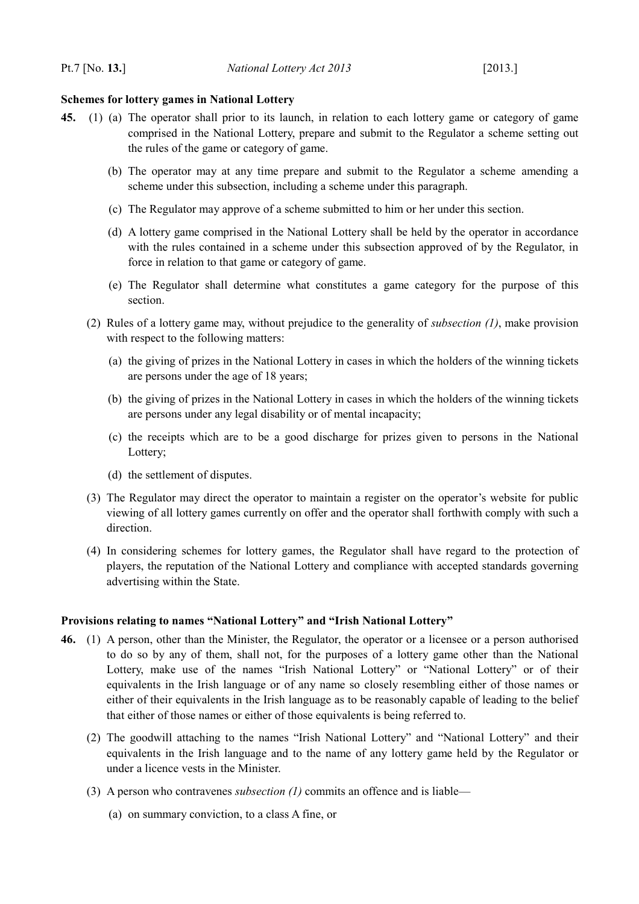### <span id="page-25-1"></span>**Schemes for lottery games in National Lottery**

- <span id="page-25-4"></span><span id="page-25-2"></span>**45.** (1) (a) The operator shall prior to its launch, in relation to each lottery game or category of game comprised in the National Lottery, prepare and submit to the Regulator a scheme setting out the rules of the game or category of game.
	- (b) The operator may at any time prepare and submit to the Regulator a scheme amending a scheme under this subsection, including a scheme under this paragraph.
	- (c) The Regulator may approve of a scheme submitted to him or her under this section.
	- (d) A lottery game comprised in the National Lottery shall be held by the operator in accordance with the rules contained in a scheme under this subsection approved of by the Regulator, in force in relation to that game or category of game.
	- (e) The Regulator shall determine what constitutes a game category for the purpose of this section.
	- (2) Rules of a lottery game may, without prejudice to the generality of *subsection [\(1\)](#page-25-4)*, make provision with respect to the following matters:
		- (a) the giving of prizes in the National Lottery in cases in which the holders of the winning tickets are persons under the age of 18 years;
		- (b) the giving of prizes in the National Lottery in cases in which the holders of the winning tickets are persons under any legal disability or of mental incapacity;
		- (c) the receipts which are to be a good discharge for prizes given to persons in the National Lottery;
		- (d) the settlement of disputes.
	- (3) The Regulator may direct the operator to maintain a register on the operator's website for public viewing of all lottery games currently on offer and the operator shall forthwith comply with such a direction.
	- (4) In considering schemes for lottery games, the Regulator shall have regard to the protection of players, the reputation of the National Lottery and compliance with accepted standards governing advertising within the State.

# <span id="page-25-0"></span>**Provisions relating to names "National Lottery" and "Irish National Lottery"**

- <span id="page-25-3"></span>**46.** (1) A person, other than the Minister, the Regulator, the operator or a licensee or a person authorised to do so by any of them, shall not, for the purposes of a lottery game other than the National Lottery, make use of the names "Irish National Lottery" or "National Lottery" or of their equivalents in the Irish language or of any name so closely resembling either of those names or either of their equivalents in the Irish language as to be reasonably capable of leading to the belief that either of those names or either of those equivalents is being referred to.
	- (2) The goodwill attaching to the names "Irish National Lottery" and "National Lottery" and their equivalents in the Irish language and to the name of any lottery game held by the Regulator or under a licence vests in the Minister.
	- (3) A person who contravenes *subsection [\(1\)](#page-25-3)* commits an offence and is liable—
		- (a) on summary conviction, to a class A fine, or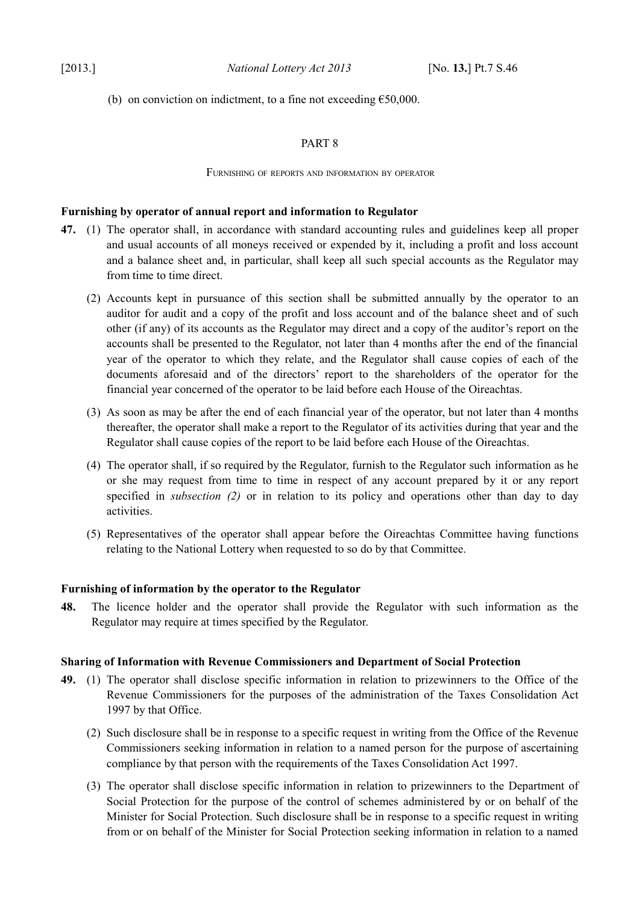(b) on conviction on indictment, to a fine not exceeding  $£50,000$ .

# <span id="page-26-4"></span>PART 8

### <span id="page-26-3"></span>FURNISHING OF REPORTS AND INFORMATION BY OPERATOR

# <span id="page-26-2"></span>**Furnishing by operator of annual report and information to Regulator**

- <span id="page-26-5"></span>**47.** (1) The operator shall, in accordance with standard accounting rules and guidelines keep all proper and usual accounts of all moneys received or expended by it, including a profit and loss account and a balance sheet and, in particular, shall keep all such special accounts as the Regulator may from time to time direct.
	- (2) Accounts kept in pursuance of this section shall be submitted annually by the operator to an auditor for audit and a copy of the profit and loss account and of the balance sheet and of such other (if any) of its accounts as the Regulator may direct and a copy of the auditor's report on the accounts shall be presented to the Regulator, not later than 4 months after the end of the financial year of the operator to which they relate, and the Regulator shall cause copies of each of the documents aforesaid and of the directors' report to the shareholders of the operator for the financial year concerned of the operator to be laid before each House of the Oireachtas.
	- (3) As soon as may be after the end of each financial year of the operator, but not later than 4 months thereafter, the operator shall make a report to the Regulator of its activities during that year and the Regulator shall cause copies of the report to be laid before each House of the Oireachtas.
	- (4) The operator shall, if so required by the Regulator, furnish to the Regulator such information as he or she may request from time to time in respect of any account prepared by it or any report specified in *subsection [\(2\)](#page-26-5)* or in relation to its policy and operations other than day to day activities.
	- (5) Representatives of the operator shall appear before the Oireachtas Committee having functions relating to the National Lottery when requested to so do by that Committee.

# <span id="page-26-1"></span>**Furnishing of information by the operator to the Regulator**

**48.** The licence holder and the operator shall provide the Regulator with such information as the Regulator may require at times specified by the Regulator.

# <span id="page-26-0"></span>**Sharing of Information with Revenue Commissioners and Department of Social Protection**

- **49.** (1) The operator shall disclose specific information in relation to prizewinners to the Office of the Revenue Commissioners for the purposes of the administration of the [Taxes Consolidation Act](http://www.irishstatutebook.ie/1997/en/act/pub/0039/index.html) [1997](http://www.irishstatutebook.ie/1997/en/act/pub/0039/index.html) by that Office.
	- (2) Such disclosure shall be in response to a specific request in writing from the Office of the Revenue Commissioners seeking information in relation to a named person for the purpose of ascertaining compliance by that person with the requirements of the [Taxes Consolidation Act 1997.](http://www.irishstatutebook.ie/1997/en/act/pub/0039/index.html)
	- (3) The operator shall disclose specific information in relation to prizewinners to the Department of Social Protection for the purpose of the control of schemes administered by or on behalf of the Minister for Social Protection. Such disclosure shall be in response to a specific request in writing from or on behalf of the Minister for Social Protection seeking information in relation to a named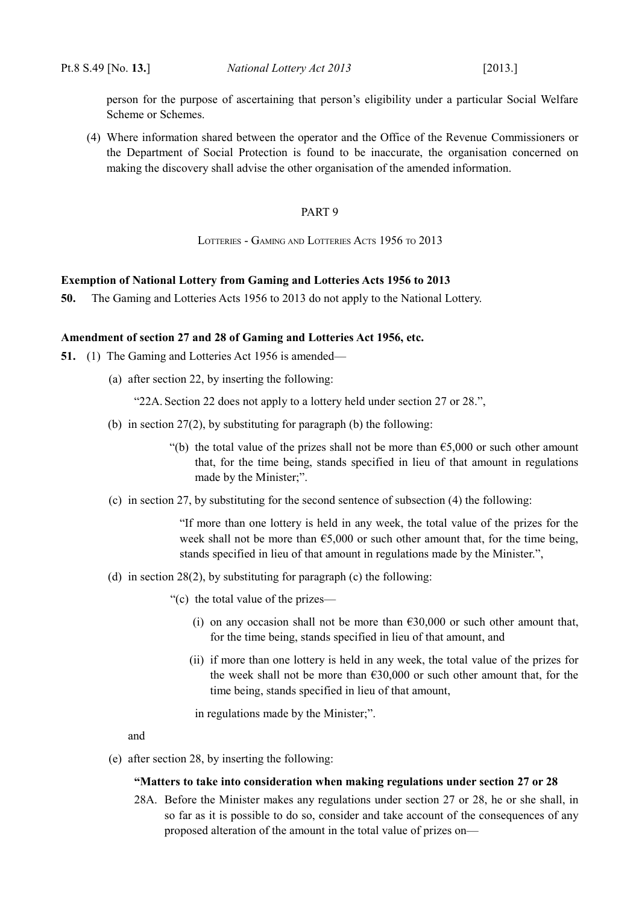person for the purpose of ascertaining that person's eligibility under a particular Social Welfare Scheme or Schemes.

(4) Where information shared between the operator and the Office of the Revenue Commissioners or the Department of Social Protection is found to be inaccurate, the organisation concerned on making the discovery shall advise the other organisation of the amended information.

### <span id="page-27-4"></span><span id="page-27-3"></span>PART 9

<span id="page-27-2"></span>LOTTERIES - GAMING AND LOTTERIES ACTS 1956 TO 2013

### <span id="page-27-1"></span>**Exemption of National Lottery from Gaming and Lotteries Acts 1956 to 2013**

**50.** The Gaming and Lotteries Acts 1956 to 2013 do not apply to the National Lottery.

### <span id="page-27-0"></span>**Amendment of section 27 and 28 of Gaming and Lotteries Act 1956, etc.**

- **51.** (1) The [Gaming and Lotteries Act 1956](http://www.irishstatutebook.ie/1956/en/act/pub/0002/index.html) is amended—
	- (a) after section 22, by inserting the following:

"22A. Section 22 does not apply to a lottery held under section 27 or 28.",

- (b) in section  $27(2)$ , by substituting for paragraph (b) the following:
	- "(b) the total value of the prizes shall not be more than  $65,000$  or such other amount that, for the time being, stands specified in lieu of that amount in regulations made by the Minister;".
- (c) in section 27, by substituting for the second sentence of subsection (4) the following:

"If more than one lottery is held in any week, the total value of the prizes for the week shall not be more than  $\epsilon$ 5,000 or such other amount that, for the time being, stands specified in lieu of that amount in regulations made by the Minister.",

- (d) in section  $28(2)$ , by substituting for paragraph (c) the following:
	- "(c) the total value of the prizes—
		- (i) on any occasion shall not be more than  $\epsilon$ 30,000 or such other amount that, for the time being, stands specified in lieu of that amount, and
		- (ii) if more than one lottery is held in any week, the total value of the prizes for the week shall not be more than  $£30,000$  or such other amount that, for the time being, stands specified in lieu of that amount,

in regulations made by the Minister;".

and

(e) after section 28, by inserting the following:

#### **"Matters to take into consideration when making regulations under section 27 or 28**

28A. Before the Minister makes any regulations under section 27 or 28, he or she shall, in so far as it is possible to do so, consider and take account of the consequences of any proposed alteration of the amount in the total value of prizes on